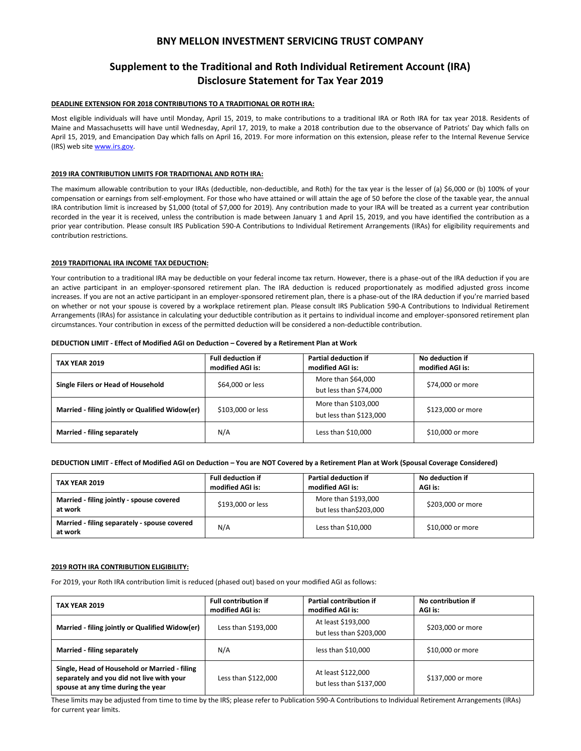# **BNY MELLON INVESTMENT SERVICING TRUST COMPANY**

# **Supplement to the Traditional and Roth Individual Retirement Account (IRA) Disclosure Statement for Tax Year 2019**

# **DEADLINE EXTENSION FOR 2018 CONTRIBUTIONS TO A TRADITIONAL OR ROTH IRA:**

Most eligible individuals will have until Monday, April 15, 2019, to make contributions to a traditional IRA or Roth IRA for tax year 2018. Residents of Maine and Massachusetts will have until Wednesday, April 17, 2019, to make a 2018 contribution due to the observance of Patriots' Day which falls on April 15, 2019, and Emancipation Day which falls on April 16, 2019. For more information on this extension, please refer to the Internal Revenue Service (IRS) web site [www.irs.gov.](http://www.irs.gov/)

#### **2019 IRA CONTRIBUTION LIMITS FOR TRADITIONAL AND ROTH IRA:**

The maximum allowable contribution to your IRAs (deductible, non-deductible, and Roth) for the tax year is the lesser of (a) \$6,000 or (b) 100% of your compensation or earnings from self-employment. For those who have attained or will attain the age of 50 before the close of the taxable year, the annual IRA contribution limit is increased by \$1,000 (total of \$7,000 for 2019). Any contribution made to your IRA will be treated as a current year contribution recorded in the year it is received, unless the contribution is made between January 1 and April 15, 2019, and you have identified the contribution as a prior year contribution. Please consult IRS Publication 590-A Contributions to Individual Retirement Arrangements (IRAs) for eligibility requirements and contribution restrictions.

## **2019 TRADITIONAL IRA INCOME TAX DEDUCTION:**

Your contribution to a traditional IRA may be deductible on your federal income tax return. However, there is a phase-out of the IRA deduction if you are an active participant in an employer-sponsored retirement plan. The IRA deduction is reduced proportionately as modified adjusted gross income increases. If you are not an active participant in an employer-sponsored retirement plan, there is a phase-out of the IRA deduction if you're married based on whether or not your spouse is covered by a workplace retirement plan. Please consult IRS Publication 590-A Contributions to Individual Retirement Arrangements (IRAs) for assistance in calculating your deductible contribution as it pertains to individual income and employer-sponsored retirement plan circumstances. Your contribution in excess of the permitted deduction will be considered a non-deductible contribution.

#### **DEDUCTION LIMIT - Effect of Modified AGI on Deduction – Covered by a Retirement Plan at Work**

| <b>TAX YEAR 2019</b>                            | <b>Full deduction if</b><br>modified AGI is: | <b>Partial deduction if</b><br>modified AGI is: | No deduction if<br>modified AGI is: |
|-------------------------------------------------|----------------------------------------------|-------------------------------------------------|-------------------------------------|
| Single Filers or Head of Household              | \$64,000 or less                             | More than \$64,000<br>but less than \$74,000    | \$74,000 or more                    |
| Married - filing jointly or Qualified Widow(er) | \$103,000 or less                            | More than \$103,000<br>but less than \$123,000  | \$123,000 or more                   |
| Married - filing separately                     | N/A                                          | Less than \$10,000                              | \$10,000 or more                    |

## **DEDUCTION LIMIT - Effect of Modified AGI on Deduction – You are NOT Covered by a Retirement Plan at Work (Spousal Coverage Considered)**

| <b>TAX YEAR 2019</b>                                    | <b>Full deduction if</b><br>modified AGI is: | <b>Partial deduction if</b><br>modified AGI is: | No deduction if<br>AGI is: |
|---------------------------------------------------------|----------------------------------------------|-------------------------------------------------|----------------------------|
| Married - filing jointly - spouse covered<br>at work    | \$193,000 or less                            | More than \$193,000<br>but less than\$203,000   | \$203,000 or more          |
| Married - filing separately - spouse covered<br>at work | N/A                                          | Less than \$10,000                              | \$10,000 or more           |

#### **2019 ROTH IRA CONTRIBUTION ELIGIBILITY:**

For 2019, your Roth IRA contribution limit is reduced (phased out) based on your modified AGI as follows:

| <b>TAX YEAR 2019</b>                                                                                                             | <b>Full contribution if</b><br>modified AGI is: | Partial contribution if<br>modified AGI is:   | No contribution if<br>AGI is: |
|----------------------------------------------------------------------------------------------------------------------------------|-------------------------------------------------|-----------------------------------------------|-------------------------------|
| Married - filing jointly or Qualified Widow(er)                                                                                  | Less than \$193,000                             | At least \$193,000<br>but less than \$203,000 | \$203,000 or more             |
| Married - filing separately                                                                                                      | N/A                                             | less than $$10,000$                           | \$10,000 or more              |
| Single, Head of Household or Married - filing<br>separately and you did not live with your<br>spouse at any time during the year | Less than \$122.000                             | At least \$122,000<br>but less than \$137,000 | \$137,000 or more             |

These limits may be adjusted from time to time by the IRS; please refer to Publication 590-A Contributions to Individual Retirement Arrangements (IRAs) for current year limits.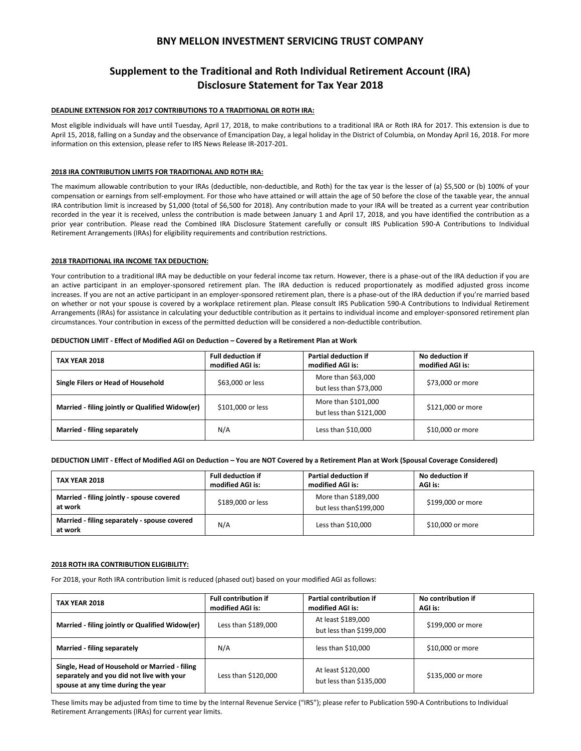# **BNY MELLON INVESTMENT SERVICING TRUST COMPANY**

# **Supplement to the Traditional and Roth Individual Retirement Account (IRA) Disclosure Statement for Tax Year 2018**

## **DEADLINE EXTENSION FOR 2017 CONTRIBUTIONS TO A TRADITIONAL OR ROTH IRA:**

Most eligible individuals will have until Tuesday, April 17, 2018, to make contributions to a traditional IRA or Roth IRA for 2017. This extension is due to April 15, 2018, falling on a Sunday and the observance of Emancipation Day, a legal holiday in the District of Columbia, on Monday April 16, 2018. For more information on this extension, please refer to IRS News Release IR-2017-201.

# **2018 IRA CONTRIBUTION LIMITS FOR TRADITIONAL AND ROTH IRA:**

The maximum allowable contribution to your IRAs (deductible, non-deductible, and Roth) for the tax year is the lesser of (a) \$5,500 or (b) 100% of your compensation or earnings from self-employment. For those who have attained or will attain the age of 50 before the close of the taxable year, the annual IRA contribution limit is increased by \$1,000 (total of \$6,500 for 2018). Any contribution made to your IRA will be treated as a current year contribution recorded in the year it is received, unless the contribution is made between January 1 and April 17, 2018, and you have identified the contribution as a prior year contribution. Please read the Combined IRA Disclosure Statement carefully or consult IRS Publication 590-A Contributions to Individual Retirement Arrangements (IRAs) for eligibility requirements and contribution restrictions.

#### **2018 TRADITIONAL IRA INCOME TAX DEDUCTION:**

Your contribution to a traditional IRA may be deductible on your federal income tax return. However, there is a phase-out of the IRA deduction if you are an active participant in an employer-sponsored retirement plan. The IRA deduction is reduced proportionately as modified adjusted gross income increases. If you are not an active participant in an employer-sponsored retirement plan, there is a phase-out of the IRA deduction if you're married based on whether or not your spouse is covered by a workplace retirement plan. Please consult IRS Publication 590-A Contributions to Individual Retirement Arrangements (IRAs) for assistance in calculating your deductible contribution as it pertains to individual income and employer-sponsored retirement plan circumstances. Your contribution in excess of the permitted deduction will be considered a non-deductible contribution.

#### **DEDUCTION LIMIT - Effect of Modified AGI on Deduction – Covered by a Retirement Plan at Work**

| <b>TAX YEAR 2018</b>                            | <b>Full deduction if</b><br>modified AGI is: | <b>Partial deduction if</b><br>modified AGI is: | No deduction if<br>modified AGI is: |
|-------------------------------------------------|----------------------------------------------|-------------------------------------------------|-------------------------------------|
| Single Filers or Head of Household              | \$63,000 or less                             | More than \$63,000<br>but less than \$73,000    | \$73,000 or more                    |
| Married - filing jointly or Qualified Widow(er) | \$101.000 or less                            | More than \$101,000<br>but less than \$121,000  | \$121,000 or more                   |
| Married - filing separately                     | N/A                                          | Less than \$10,000                              | \$10,000 or more                    |

# **DEDUCTION LIMIT - Effect of Modified AGI on Deduction – You are NOT Covered by a Retirement Plan at Work (Spousal Coverage Considered)**

| <b>TAX YEAR 2018</b>                                    | <b>Full deduction if</b><br>modified AGI is: | <b>Partial deduction if</b><br>modified AGI is: | No deduction if<br>AGI is: |
|---------------------------------------------------------|----------------------------------------------|-------------------------------------------------|----------------------------|
| Married - filing jointly - spouse covered<br>at work    | \$189,000 or less                            | More than \$189,000<br>but less than\$199,000   | \$199,000 or more          |
| Married - filing separately - spouse covered<br>at work | N/A                                          | Less than \$10,000                              | \$10,000 or more           |

#### **2018 ROTH IRA CONTRIBUTION ELIGIBILITY:**

For 2018, your Roth IRA contribution limit is reduced (phased out) based on your modified AGI as follows:

| <b>TAX YEAR 2018</b>                                                                                                             | <b>Full contribution if</b><br>modified AGI is: | <b>Partial contribution if</b><br>modified AGI is: | No contribution if<br>AGI is: |
|----------------------------------------------------------------------------------------------------------------------------------|-------------------------------------------------|----------------------------------------------------|-------------------------------|
| Married - filing jointly or Qualified Widow(er)                                                                                  | Less than \$189,000                             | At least \$189,000<br>but less than \$199,000      | \$199,000 or more             |
| <b>Married - filing separately</b>                                                                                               | N/A                                             | less than $$10,000$                                | \$10,000 or more              |
| Single, Head of Household or Married - filing<br>separately and you did not live with your<br>spouse at any time during the year | Less than \$120,000                             | At least \$120,000<br>but less than \$135,000      | \$135,000 or more             |

These limits may be adjusted from time to time by the Internal Revenue Service ("IRS"); please refer to Publication 590-A Contributions to Individual Retirement Arrangements (IRAs) for current year limits.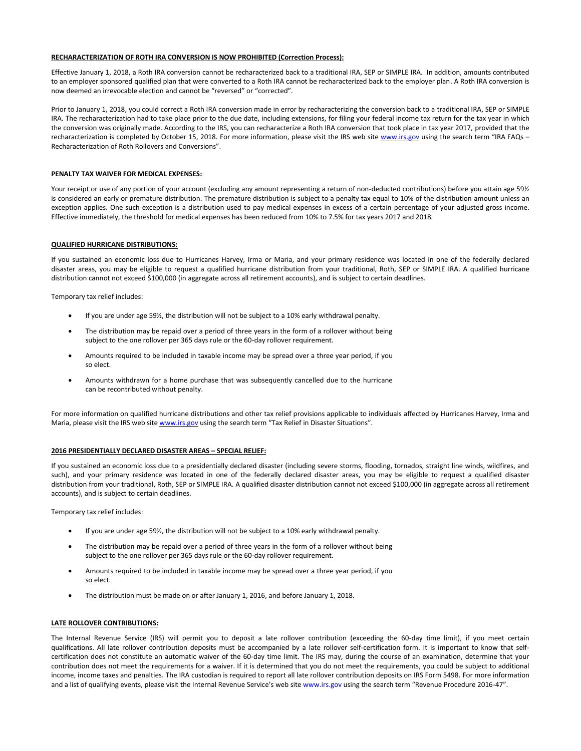#### **RECHARACTERIZATION OF ROTH IRA CONVERSION IS NOW PROHIBITED (Correction Process):**

Effective January 1, 2018, a Roth IRA conversion cannot be recharacterized back to a traditional IRA, SEP or SIMPLE IRA. In addition, amounts contributed to an employer sponsored qualified plan that were converted to a Roth IRA cannot be recharacterized back to the employer plan. A Roth IRA conversion is now deemed an irrevocable election and cannot be "reversed" or "corrected".

Prior to January 1, 2018, you could correct a Roth IRA conversion made in error by recharacterizing the conversion back to a traditional IRA, SEP or SIMPLE IRA. The recharacterization had to take place prior to the due date, including extensions, for filing your federal income tax return for the tax year in which the conversion was originally made. According to the IRS, you can recharacterize a Roth IRA conversion that took place in tax year 2017, provided that the recharacterization is completed by October 15, 2018. For more information, please visit the IRS web sit[e www.irs.gov](http://www.irs.gov/) using the search term "IRA FAQs – Recharacterization of Roth Rollovers and Conversions".

#### **PENALTY TAX WAIVER FOR MEDICAL EXPENSES:**

Your receipt or use of any portion of your account (excluding any amount representing a return of non-deducted contributions) before you attain age 591/2 is considered an early or premature distribution. The premature distribution is subject to a penalty tax equal to 10% of the distribution amount unless an exception applies. One such exception is a distribution used to pay medical expenses in excess of a certain percentage of your adjusted gross income. Effective immediately, the threshold for medical expenses has been reduced from 10% to 7.5% for tax years 2017 and 2018.

#### **QUALIFIED HURRICANE DISTRIBUTIONS:**

If you sustained an economic loss due to Hurricanes Harvey, Irma or Maria, and your primary residence was located in one of the federally declared disaster areas, you may be eligible to request a qualified hurricane distribution from your traditional, Roth, SEP or SIMPLE IRA. A qualified hurricane distribution cannot not exceed \$100,000 (in aggregate across all retirement accounts), and is subject to certain deadlines.

Temporary tax relief includes:

- If you are under age 59½, the distribution will not be subject to a 10% early withdrawal penalty.
- The distribution may be repaid over a period of three years in the form of a rollover without being subject to the one rollover per 365 days rule or the 60-day rollover requirement.
- Amounts required to be included in taxable income may be spread over a three year period, if you so elect.
- Amounts withdrawn for a home purchase that was subsequently cancelled due to the hurricane can be recontributed without penalty.

For more information on qualified hurricane distributions and other tax relief provisions applicable to individuals affected by Hurricanes Harvey, Irma and Maria, please visit the IRS web sit[e www.irs.gov](http://www.irs.gov/) using the search term "Tax Relief in Disaster Situations".

#### **2016 PRESIDENTIALLY DECLARED DISASTER AREAS – SPECIAL RELIEF:**

If you sustained an economic loss due to a presidentially declared disaster (including severe storms, flooding, tornados, straight line winds, wildfires, and such), and your primary residence was located in one of the federally declared disaster areas, you may be eligible to request a qualified disaster distribution from your traditional, Roth, SEP or SIMPLE IRA. A qualified disaster distribution cannot not exceed \$100,000 (in aggregate across all retirement accounts), and is subject to certain deadlines.

Temporary tax relief includes:

- If you are under age 59½, the distribution will not be subject to a 10% early withdrawal penalty.
- The distribution may be repaid over a period of three years in the form of a rollover without being subject to the one rollover per 365 days rule or the 60-day rollover requirement.
- Amounts required to be included in taxable income may be spread over a three year period, if you so elect.
- The distribution must be made on or after January 1, 2016, and before January 1, 2018.

#### **LATE ROLLOVER CONTRIBUTIONS:**

The Internal Revenue Service (IRS) will permit you to deposit a late rollover contribution (exceeding the 60-day time limit), if you meet certain qualifications. All late rollover contribution deposits must be accompanied by a late rollover self-certification form. It is important to know that selfcertification does not constitute an automatic waiver of the 60-day time limit. The IRS may, during the course of an examination, determine that your contribution does not meet the requirements for a waiver. If it is determined that you do not meet the requirements, you could be subject to additional income, income taxes and penalties. The IRA custodian is required to report all late rollover contribution deposits on IRS Form 5498. For more information and a list of qualifying events, please visit the Internal Revenue Service's web site [www.irs.gov](http://www.irs.gov/) using the search term "Revenue Procedure 2016-47".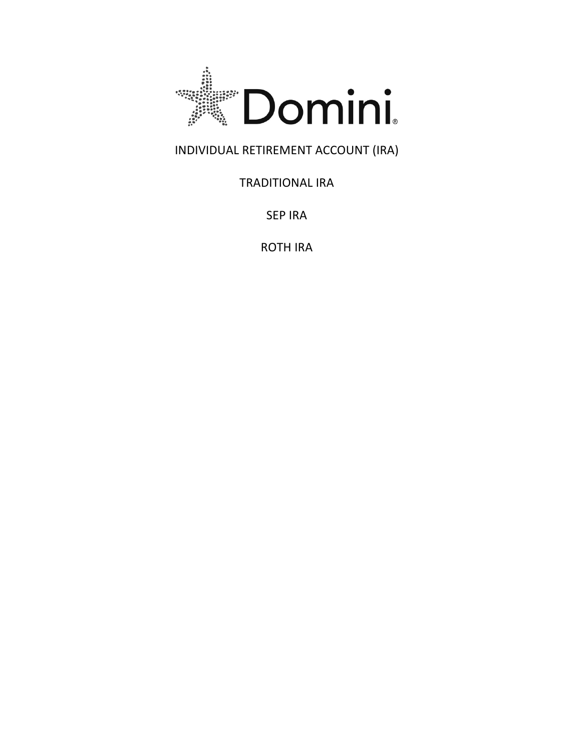

# INDIVIDUAL RETIREMENT ACCOUNT (IRA)

# **TRADITIONAL IRA**

SEP IRA

**ROTH IRA**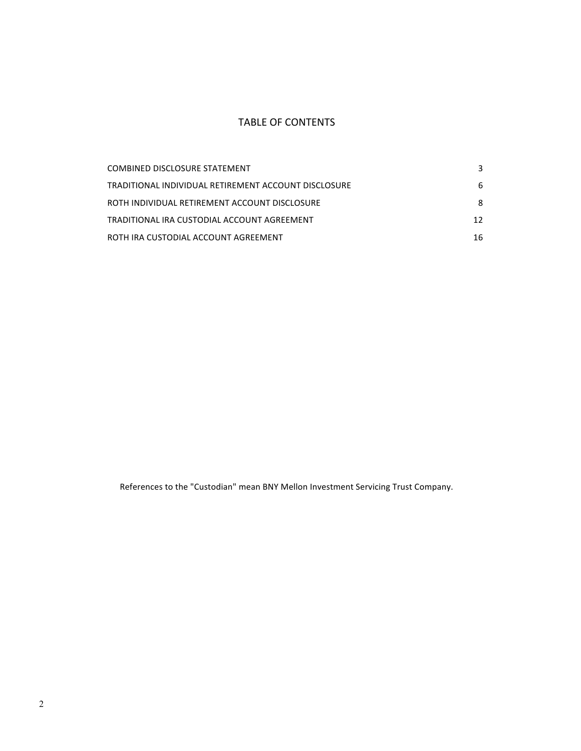# TABLE OF CONTENTS

| COMBINED DISCLOSURE STATEMENT                        | 3  |
|------------------------------------------------------|----|
| TRADITIONAL INDIVIDUAL RETIREMENT ACCOUNT DISCLOSURE | 6  |
| ROTH INDIVIDUAL RETIREMENT ACCOUNT DISCLOSURE        | 8  |
| TRADITIONAL IRA CUSTODIAL ACCOUNT AGREEMENT          | 12 |
| ROTH IRA CUSTODIAL ACCOUNT AGREEMENT                 | 16 |

References to the "Custodian" mean BNY Mellon Investment Servicing Trust Company.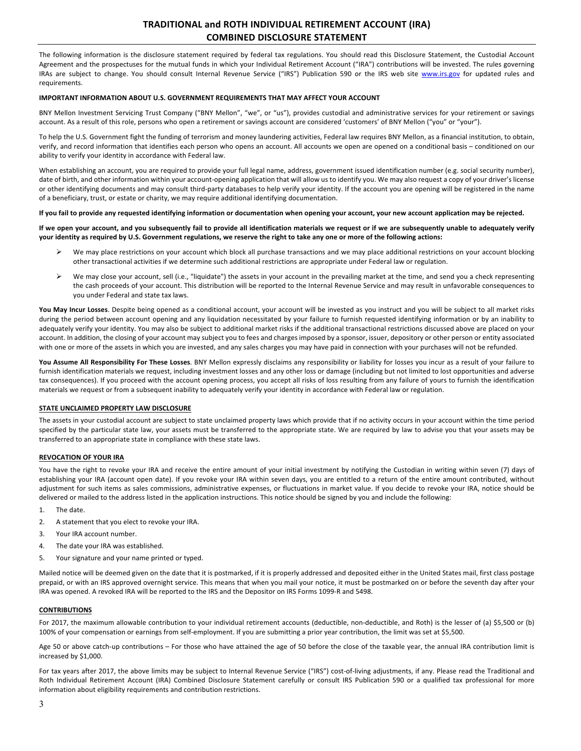# **TRADITIONAL and ROTH INDIVIDUAL RETIREMENT ACCOUNT (IRA) COMBINED DISCLOSURE STATEMENT**

The following information is the disclosure statement required by federal tax regulations. You should read this Disclosure Statement, the Custodial Account Agreement and the prospectuses for the mutual funds in which your Individual Retirement Account ("IRA") contributions will be invested. The rules governing IRAs are subject to change. You should consult Internal Revenue Service ("IRS") Publication 590 or the IRS web site www.irs.gov for updated rules and requirements. 

## **IMPORTANT INFORMATION ABOUT U.S. GOVERNMENT REQUIREMENTS THAT MAY AFFECT YOUR ACCOUNT**

BNY Mellon Investment Servicing Trust Company ("BNY Mellon", "we", or "us"), provides custodial and administrative services for your retirement or savings account. As a result of this role, persons who open a retirement or savings account are considered 'customers' of BNY Mellon ("you" or "your").

To help the U.S. Government fight the funding of terrorism and money laundering activities, Federal law requires BNY Mellon, as a financial institution, to obtain, verify, and record information that identifies each person who opens an account. All accounts we open are opened on a conditional basis – conditioned on our ability to verify your identity in accordance with Federal law.

When establishing an account, you are required to provide your full legal name, address, government issued identification number (e.g. social security number), date of birth, and other information within your account-opening application that will allow us to identify you. We may also request a copy of your driver's license or other identifying documents and may consult third-party databases to help verify your identity. If the account you are opening will be registered in the name of a beneficiary, trust, or estate or charity, we may require additional identifying documentation.

#### If you fail to provide any requested identifying information or documentation when opening your account, your new account application may be rejected.

If we open your account, and you subsequently fail to provide all identification materials we request or if we are subsequently unable to adequately verify your identity as required by U.S. Government regulations, we reserve the right to take any one or more of the following actions:

- $\triangleright$  We may place restrictions on your account which block all purchase transactions and we may place additional restrictions on your account blocking other transactional activities if we determine such additional restrictions are appropriate under Federal law or regulation.
- $\triangleright$  We may close your account, sell (i.e., "liquidate") the assets in your account in the prevailing market at the time, and send you a check representing the cash proceeds of your account. This distribution will be reported to the Internal Revenue Service and may result in unfavorable consequences to you under Federal and state tax laws.

You May Incur Losses. Despite being opened as a conditional account, your account will be invested as you instruct and you will be subject to all market risks during the period between account opening and any liquidation necessitated by your failure to furnish requested identifying information or by an inability to adequately verify your identity. You may also be subject to additional market risks if the additional transactional restrictions discussed above are placed on your account. In addition, the closing of your account may subject you to fees and charges imposed by a sponsor, issuer, depository or other person or entity associated with one or more of the assets in which you are invested, and any sales charges you may have paid in connection with your purchases will not be refunded.

You Assume All Responsibility For These Losses. BNY Mellon expressly disclaims any responsibility or liability for losses you incur as a result of your failure to furnish identification materials we request, including investment losses and any other loss or damage (including but not limited to lost opportunities and adverse tax consequences). If you proceed with the account opening process, you accept all risks of loss resulting from any failure of yours to furnish the identification materials we request or from a subsequent inability to adequately verify your identity in accordance with Federal law or regulation.

#### **STATE UNCLAIMED PROPERTY LAW DISCLOSURE**

The assets in your custodial account are subject to state unclaimed property laws which provide that if no activity occurs in your account within the time period specified by the particular state law, your assets must be transferred to the appropriate state. We are required by law to advise you that your assets may be transferred to an appropriate state in compliance with these state laws.

# **REVOCATION OF YOUR IRA**

You have the right to revoke your IRA and receive the entire amount of your initial investment by notifying the Custodian in writing within seven (7) days of establishing your IRA (account open date). If you revoke your IRA within seven days, you are entitled to a return of the entire amount contributed, without adjustment for such items as sales commissions, administrative expenses, or fluctuations in market value. If you decide to revoke your IRA, notice should be delivered or mailed to the address listed in the application instructions. This notice should be signed by you and include the following:

- 1. The date.
- 2. A statement that you elect to revoke your IRA.
- 3. Your IRA account number.
- 4. The date your IRA was established.
- 5. Your signature and your name printed or typed.

Mailed notice will be deemed given on the date that it is postmarked, if it is properly addressed and deposited either in the United States mail, first class postage prepaid, or with an IRS approved overnight service. This means that when you mail your notice, it must be postmarked on or before the seventh day after your IRA was opened. A revoked IRA will be reported to the IRS and the Depositor on IRS Forms 1099-R and 5498.

#### **CONTRIBUTIONS**

For 2017, the maximum allowable contribution to your individual retirement accounts (deductible, non-deductible, and Roth) is the lesser of (a) \$5,500 or (b) 100% of your compensation or earnings from self-employment. If you are submitting a prior year contribution, the limit was set at \$5,500.

Age 50 or above catch-up contributions – For those who have attained the age of 50 before the close of the taxable year, the annual IRA contribution limit is increased by \$1,000.

For tax years after 2017, the above limits may be subject to Internal Revenue Service ("IRS") cost-of-living adjustments, if any. Please read the Traditional and Roth Individual Retirement Account (IRA) Combined Disclosure Statement carefully or consult IRS Publication 590 or a qualified tax professional for more information about eligibility requirements and contribution restrictions.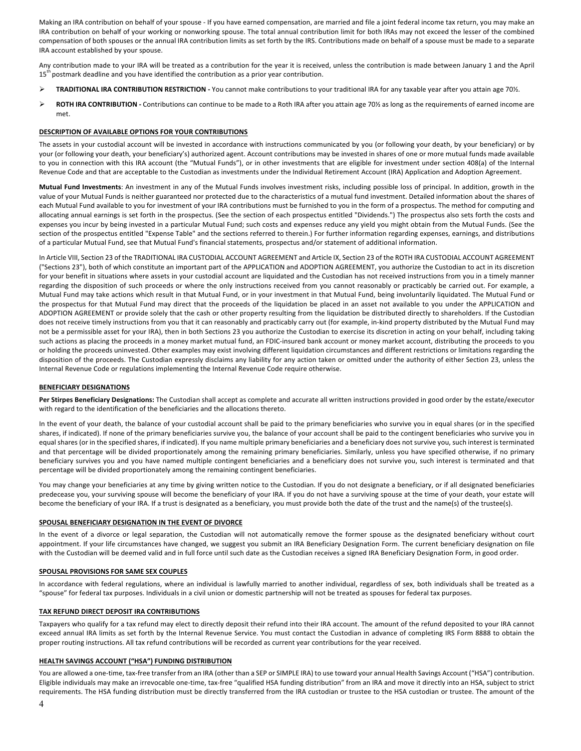Making an IRA contribution on behalf of your spouse - If you have earned compensation, are married and file a joint federal income tax return, you may make an IRA contribution on behalf of your working or nonworking spouse. The total annual contribution limit for both IRAs may not exceed the lesser of the combined compensation of both spouses or the annual IRA contribution limits as set forth by the IRS. Contributions made on behalf of a spouse must be made to a separate IRA account established by your spouse.

Any contribution made to your IRA will be treated as a contribution for the year it is received, unless the contribution is made between January 1 and the April  $15<sup>th</sup>$  postmark deadline and you have identified the contribution as a prior year contribution.

- TRADITIONAL IRA CONTRIBUTION RESTRICTION You cannot make contributions to your traditional IRA for any taxable year after you attain age 701/2.
- **►** ROTH IRA CONTRIBUTION Contributions can continue to be made to a Roth IRA after you attain age 70½ as long as the requirements of earned income are met.

#### **DESCRIPTION OF AVAILABLE OPTIONS FOR YOUR CONTRIBUTIONS**

The assets in your custodial account will be invested in accordance with instructions communicated by you (or following your death, by your beneficiary) or by your (or following your death, your beneficiary's) authorized agent. Account contributions may be invested in shares of one or more mutual funds made available to you in connection with this IRA account (the "Mutual Funds"), or in other investments that are eligible for investment under section 408(a) of the Internal Revenue Code and that are acceptable to the Custodian as investments under the Individual Retirement Account (IRA) Application and Adoption Agreement.

Mutual Fund Investments: An investment in any of the Mutual Funds involves investment risks, including possible loss of principal. In addition, growth in the value of your Mutual Funds is neither guaranteed nor protected due to the characteristics of a mutual fund investment. Detailed information about the shares of each Mutual Fund available to you for investment of your IRA contributions must be furnished to you in the form of a prospectus. The method for computing and allocating annual earnings is set forth in the prospectus. (See the section of each prospectus entitled "Dividends.") The prospectus also sets forth the costs and expenses you incur by being invested in a particular Mutual Fund; such costs and expenses reduce any yield you might obtain from the Mutual Funds. (See the section of the prospectus entitled "Expense Table" and the sections referred to therein.) For further information regarding expenses, earnings, and distributions of a particular Mutual Fund, see that Mutual Fund's financial statements, prospectus and/or statement of additional information.

In Article VIII, Section 23 of the TRADITIONAL IRA CUSTODIAL ACCOUNT AGREEMENT and Article IX, Section 23 of the ROTH IRA CUSTODIAL ACCOUNT AGREEMENT ("Sections 23"), both of which constitute an important part of the APPLICATION and ADOPTION AGREEMENT, you authorize the Custodian to act in its discretion for your benefit in situations where assets in your custodial account are liquidated and the Custodian has not received instructions from you in a timely manner regarding the disposition of such proceeds or where the only instructions received from you cannot reasonably or practicably be carried out. For example, a Mutual Fund may take actions which result in that Mutual Fund, or in your investment in that Mutual Fund, being involuntarily liquidated. The Mutual Fund or the prospectus for that Mutual Fund may direct that the proceeds of the liquidation be placed in an asset not available to you under the APPLICATION and ADOPTION AGREEMENT or provide solely that the cash or other property resulting from the liquidation be distributed directly to shareholders. If the Custodian does not receive timely instructions from you that it can reasonably and practicably carry out (for example, in-kind property distributed by the Mutual Fund may not be a permissible asset for your IRA), then in both Sections 23 you authorize the Custodian to exercise its discretion in acting on your behalf, including taking such actions as placing the proceeds in a money market mutual fund, an FDIC-insured bank account or money market account, distributing the proceeds to you or holding the proceeds uninvested. Other examples may exist involving different liquidation circumstances and different restrictions or limitations regarding the disposition of the proceeds. The Custodian expressly disclaims any liability for any action taken or omitted under the authority of either Section 23, unless the Internal Revenue Code or regulations implementing the Internal Revenue Code require otherwise.

#### **BENEFICIARY DESIGNATIONS**

Per Stirpes Beneficiary Designations: The Custodian shall accept as complete and accurate all written instructions provided in good order by the estate/executor with regard to the identification of the beneficiaries and the allocations thereto.

In the event of your death, the balance of your custodial account shall be paid to the primary beneficiaries who survive you in equal shares (or in the specified shares, if indicated). If none of the primary beneficiaries survive you, the balance of your account shall be paid to the contingent beneficiaries who survive you in equal shares (or in the specified shares, if indicated). If you name multiple primary beneficiaries and a beneficiary does not survive you, such interest is terminated and that percentage will be divided proportionately among the remaining primary beneficiaries. Similarly, unless you have specified otherwise, if no primary beneficiary survives you and you have named multiple contingent beneficiaries and a beneficiary does not survive you, such interest is terminated and that percentage will be divided proportionately among the remaining contingent beneficiaries.

You may change your beneficiaries at any time by giving written notice to the Custodian. If you do not designate a beneficiary, or if all designated beneficiaries predecease you, your surviving spouse will become the beneficiary of your IRA. If you do not have a surviving spouse at the time of your death, your estate will become the beneficiary of your IRA. If a trust is designated as a beneficiary, you must provide both the date of the trust and the name(s) of the trustee(s).

#### **SPOUSAL BENEFICIARY DESIGNATION IN THE EVENT OF DIVORCE**

In the event of a divorce or legal separation, the Custodian will not automatically remove the former spouse as the designated beneficiary without court appointment. If your life circumstances have changed, we suggest you submit an IRA Beneficiary Designation Form. The current beneficiary designation on file with the Custodian will be deemed valid and in full force until such date as the Custodian receives a signed IRA Beneficiary Designation Form, in good order.

#### **SPOUSAL PROVISIONS FOR SAME SEX COUPLES**

In accordance with federal regulations, where an individual is lawfully married to another individual, regardless of sex, both individuals shall be treated as a "spouse" for federal tax purposes. Individuals in a civil union or domestic partnership will not be treated as spouses for federal tax purposes.

#### **TAX REFUND DIRECT DEPOSIT IRA CONTRIBUTIONS**

Taxpayers who qualify for a tax refund may elect to directly deposit their refund into their IRA account. The amount of the refund deposited to your IRA cannot exceed annual IRA limits as set forth by the Internal Revenue Service. You must contact the Custodian in advance of completing IRS Form 8888 to obtain the proper routing instructions. All tax refund contributions will be recorded as current year contributions for the year received.

#### **HEALTH SAVINGS ACCOUNT ("HSA") FUNDING DISTRIBUTION**

You are allowed a one-time, tax-free transfer from an IRA (other than a SEP or SIMPLE IRA) to use toward your annual Health Savings Account ("HSA") contribution. Eligible individuals may make an irrevocable one-time, tax-free "qualified HSA funding distribution" from an IRA and move it directly into an HSA, subject to strict requirements. The HSA funding distribution must be directly transferred from the IRA custodian or trustee to the HSA custodian or trustee. The amount of the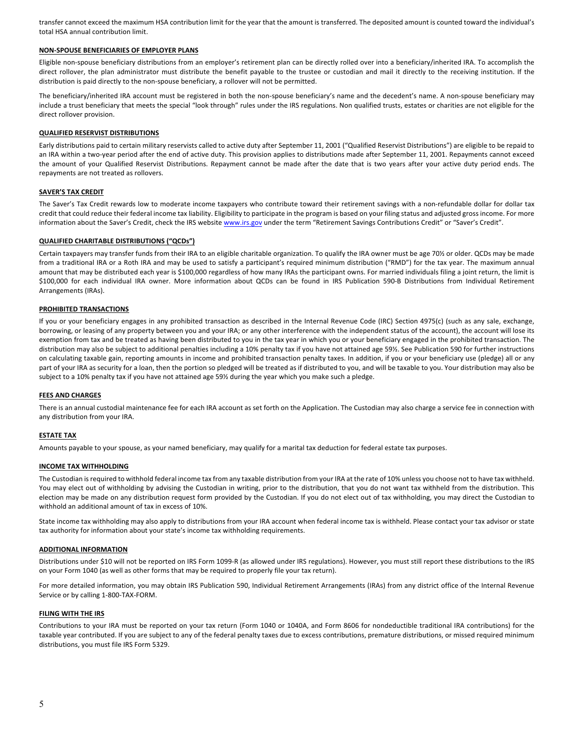transfer cannot exceed the maximum HSA contribution limit for the year that the amount is transferred. The deposited amount is counted toward the individual's total HSA annual contribution limit.

## **NON-SPOUSE BENEFICIARIES OF EMPLOYER PLANS**

Eligible non-spouse beneficiary distributions from an employer's retirement plan can be directly rolled over into a beneficiary/inherited IRA. To accomplish the direct rollover, the plan administrator must distribute the benefit payable to the trustee or custodian and mail it directly to the receiving institution. If the distribution is paid directly to the non-spouse beneficiary, a rollover will not be permitted.

The beneficiary/inherited IRA account must be registered in both the non-spouse beneficiary's name and the decedent's name. A non-spouse beneficiary may include a trust beneficiary that meets the special "look through" rules under the IRS regulations. Non qualified trusts, estates or charities are not eligible for the direct rollover provision.

#### **QUALIFIED RESERVIST DISTRIBUTIONS**

Early distributions paid to certain military reservists called to active duty after September 11, 2001 ("Qualified Reservist Distributions") are eligible to be repaid to an IRA within a two-year period after the end of active duty. This provision applies to distributions made after September 11, 2001. Repayments cannot exceed the amount of your Qualified Reservist Distributions. Repayment cannot be made after the date that is two years after your active duty period ends. The repayments are not treated as rollovers.

## **SAVER'S TAX CREDIT**

The Saver's Tax Credit rewards low to moderate income taxpayers who contribute toward their retirement savings with a non-refundable dollar for dollar tax credit that could reduce their federal income tax liability. Eligibility to participate in the program is based on your filing status and adjusted gross income. For more information about the Saver's Credit, check the IRS website www.irs.gov under the term "Retirement Savings Contributions Credit" or "Saver's Credit".

## **QUALIFIED CHARITABLE DISTRIBUTIONS ("QCDs")**

Certain taxpayers may transfer funds from their IRA to an eligible charitable organization. To qualify the IRA owner must be age 70½ or older. QCDs may be made from a traditional IRA or a Roth IRA and may be used to satisfy a participant's required minimum distribution ("RMD") for the tax year. The maximum annual amount that may be distributed each year is \$100,000 regardless of how many IRAs the participant owns. For married individuals filing a joint return, the limit is \$100,000 for each individual IRA owner. More information about QCDs can be found in IRS Publication 590-B Distributions from Individual Retirement Arrangements (IRAs).

## **PROHIBITED TRANSACTIONS**

If you or your beneficiary engages in any prohibited transaction as described in the Internal Revenue Code (IRC) Section 4975(c) (such as any sale, exchange, borrowing, or leasing of any property between you and your IRA; or any other interference with the independent status of the account), the account will lose its exemption from tax and be treated as having been distributed to you in the tax year in which you or your beneficiary engaged in the prohibited transaction. The distribution may also be subject to additional penalties including a 10% penalty tax if you have not attained age 59%. See Publication 590 for further instructions on calculating taxable gain, reporting amounts in income and prohibited transaction penalty taxes. In addition, if you or your beneficiary use (pledge) all or any part of your IRA as security for a loan, then the portion so pledged will be treated as if distributed to you, and will be taxable to you. Your distribution may also be subject to a 10% penalty tax if you have not attained age 59% during the year which you make such a pledge.

#### **FEES AND CHARGES**

There is an annual custodial maintenance fee for each IRA account as set forth on the Application. The Custodian may also charge a service fee in connection with any distribution from your IRA.

#### **ESTATE TAX**

Amounts payable to your spouse, as your named beneficiary, may qualify for a marital tax deduction for federal estate tax purposes.

#### **INCOME TAX WITHHOLDING**

The Custodian is required to withhold federal income tax from any taxable distribution from your IRA at the rate of 10% unless you choose not to have tax withheld. You may elect out of withholding by advising the Custodian in writing, prior to the distribution, that you do not want tax withheld from the distribution. This election may be made on any distribution request form provided by the Custodian. If you do not elect out of tax withholding, you may direct the Custodian to withhold an additional amount of tax in excess of 10%.

State income tax withholding may also apply to distributions from your IRA account when federal income tax is withheld. Please contact your tax advisor or state tax authority for information about your state's income tax withholding requirements.

#### **ADDITIONAL INFORMATION**

Distributions under \$10 will not be reported on IRS Form 1099-R (as allowed under IRS regulations). However, you must still report these distributions to the IRS on your Form 1040 (as well as other forms that may be required to properly file your tax return).

For more detailed information, you may obtain IRS Publication 590, Individual Retirement Arrangements (IRAs) from any district office of the Internal Revenue Service or by calling 1-800-TAX-FORM.

#### **FILING WITH THE IRS**

Contributions to your IRA must be reported on your tax return (Form 1040 or 1040A, and Form 8606 for nondeductible traditional IRA contributions) for the taxable year contributed. If you are subject to any of the federal penalty taxes due to excess contributions, premature distributions, or missed required minimum distributions, you must file IRS Form 5329.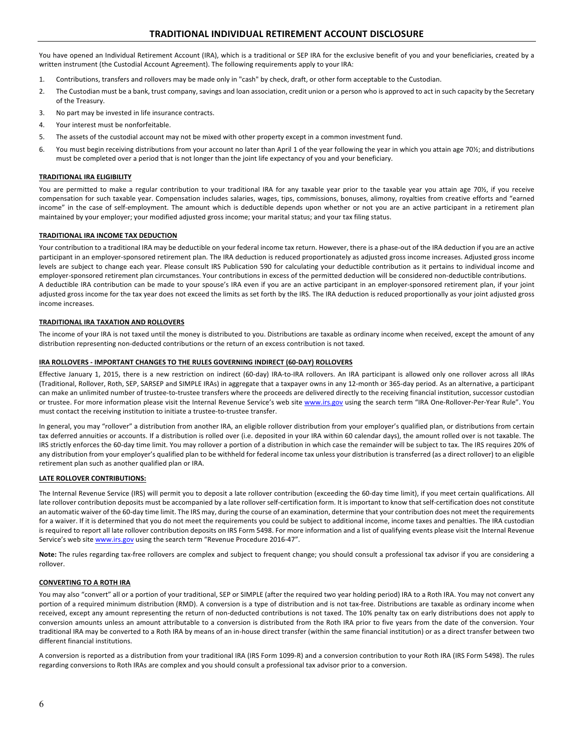You have opened an Individual Retirement Account (IRA), which is a traditional or SEP IRA for the exclusive benefit of you and your beneficiaries, created by a written instrument (the Custodial Account Agreement). The following requirements apply to your IRA:

- 1. Contributions, transfers and rollovers may be made only in "cash" by check, draft, or other form acceptable to the Custodian.
- 2. The Custodian must be a bank, trust company, savings and loan association, credit union or a person who is approved to act in such capacity by the Secretary of the Treasury.
- 3. No part may be invested in life insurance contracts.
- 4. Your interest must be nonforfeitable.
- 5. The assets of the custodial account may not be mixed with other property except in a common investment fund.
- 6. You must begin receiving distributions from your account no later than April 1 of the year following the year in which you attain age 70½; and distributions must be completed over a period that is not longer than the joint life expectancy of you and your beneficiary.

# **TRADITIONAL IRA ELIGIBILITY**

You are permitted to make a regular contribution to your traditional IRA for any taxable year prior to the taxable year you attain age 70%, if you receive compensation for such taxable year. Compensation includes salaries, wages, tips, commissions, bonuses, alimony, royalties from creative efforts and "earned income" in the case of self-employment. The amount which is deductible depends upon whether or not you are an active participant in a retirement plan maintained by your employer; your modified adjusted gross income; your marital status; and your tax filing status.

## **TRADITIONAL IRA INCOME TAX DEDUCTION**

Your contribution to a traditional IRA may be deductible on your federal income tax return. However, there is a phase-out of the IRA deduction if you are an active participant in an employer-sponsored retirement plan. The IRA deduction is reduced proportionately as adjusted gross income increases. Adjusted gross income levels are subject to change each year. Please consult IRS Publication 590 for calculating your deductible contribution as it pertains to individual income and employer-sponsored retirement plan circumstances. Your contributions in excess of the permitted deduction will be considered non-deductible contributions. A deductible IRA contribution can be made to your spouse's IRA even if you are an active participant in an employer-sponsored retirement plan, if your joint adjusted gross income for the tax year does not exceed the limits as set forth by the IRS. The IRA deduction is reduced proportionally as your joint adjusted gross income increases.

## **TRADITIONAL IRA TAXATION AND ROLLOVERS**

The income of your IRA is not taxed until the money is distributed to you. Distributions are taxable as ordinary income when received, except the amount of any distribution representing non-deducted contributions or the return of an excess contribution is not taxed.

#### **IRA ROLLOVERS - IMPORTANT CHANGES TO THE RULES GOVERNING INDIRECT (60-DAY) ROLLOVERS**

Effective January 1, 2015, there is a new restriction on indirect (60-day) IRA-to-IRA rollovers. An IRA participant is allowed only one rollover across all IRAs (Traditional, Rollover, Roth, SEP, SARSEP and SIMPLE IRAs) in aggregate that a taxpayer owns in any 12-month or 365-day period. As an alternative, a participant can make an unlimited number of trustee-to-trustee transfers where the proceeds are delivered directly to the receiving financial institution, successor custodian or trustee. For more information please visit the Internal Revenue Service's web site www.irs.gov using the search term "IRA One-Rollover-Per-Year Rule". You must contact the receiving institution to initiate a trustee-to-trustee transfer.

In general, you may "rollover" a distribution from another IRA, an eligible rollover distribution from your employer's qualified plan, or distributions from certain tax deferred annuities or accounts. If a distribution is rolled over (i.e. deposited in your IRA within 60 calendar days), the amount rolled over is not taxable. The IRS strictly enforces the 60-day time limit. You may rollover a portion of a distribution in which case the remainder will be subject to tax. The IRS requires 20% of any distribution from your employer's qualified plan to be withheld for federal income tax unless your distribution is transferred (as a direct rollover) to an eligible retirement plan such as another qualified plan or IRA.

## **LATE ROLLOVER CONTRIBUTIONS:**

The Internal Revenue Service (IRS) will permit you to deposit a late rollover contribution (exceeding the 60-day time limit), if you meet certain qualifications. All late rollover contribution deposits must be accompanied by a late rollover self-certification form. It is important to know that self-certification does not constitute an automatic waiver of the 60-day time limit. The IRS may, during the course of an examination, determine that your contribution does not meet the requirements for a waiver. If it is determined that you do not meet the requirements you could be subject to additional income, income taxes and penalties. The IRA custodian is required to report all late rollover contribution deposits on IRS Form 5498. For more information and a list of qualifying events please visit the Internal Revenue Service's web site www.irs.gov using the search term "Revenue Procedure 2016-47".

Note: The rules regarding tax-free rollovers are complex and subject to frequent change; you should consult a professional tax advisor if you are considering a rollover.

# **CONVERTING TO A ROTH IRA**

You may also "convert" all or a portion of your traditional, SEP or SIMPLE (after the required two year holding period) IRA to a Roth IRA. You may not convert any portion of a required minimum distribution (RMD). A conversion is a type of distribution and is not tax-free. Distributions are taxable as ordinary income when received, except any amount representing the return of non-deducted contributions is not taxed. The 10% penalty tax on early distributions does not apply to conversion amounts unless an amount attributable to a conversion is distributed from the Roth IRA prior to five years from the date of the conversion. Your traditional IRA may be converted to a Roth IRA by means of an in-house direct transfer (within the same financial institution) or as a direct transfer between two different financial institutions.

A conversion is reported as a distribution from your traditional IRA (IRS Form 1099-R) and a conversion contribution to your Roth IRA (IRS Form 5498). The rules regarding conversions to Roth IRAs are complex and you should consult a professional tax advisor prior to a conversion.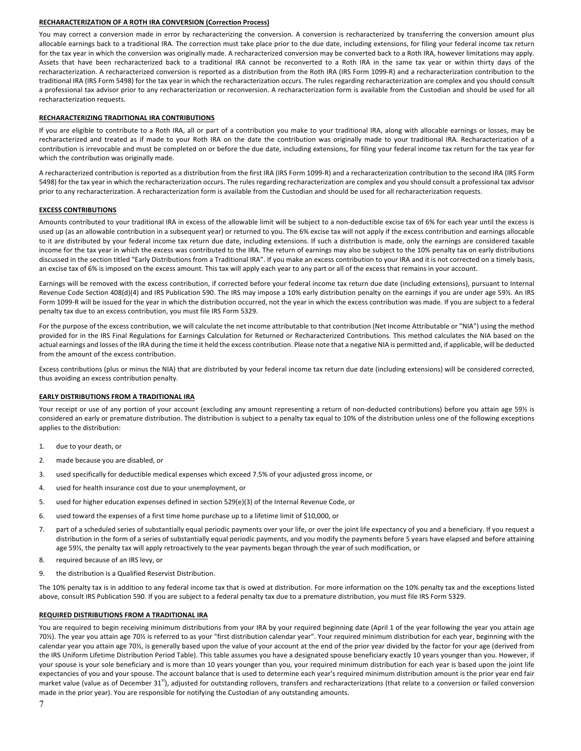#### **RECHARACTERIZATION OF A ROTH IRA CONVERSION (Correction Process)**

You may correct a conversion made in error by recharacterizing the conversion. A conversion is recharacterized by transferring the conversion amount plus allocable earnings back to a traditional IRA. The correction must take place prior to the due date, including extensions, for filing your federal income tax return for the tax year in which the conversion was originally made. A recharacterized conversion may be converted back to a Roth IRA, however limitations may apply. Assets that have been recharacterized back to a traditional IRA cannot be reconverted to a Roth IRA in the same tax year or within thirty days of the recharacterization. A recharacterized conversion is reported as a distribution from the Roth IRA (IRS Form 1099-R) and a recharacterization contribution to the traditional IRA (IRS Form 5498) for the tax year in which the recharacterization occurs. The rules regarding recharacterization are complex and you should consult a professional tax advisor prior to any recharacterization or reconversion. A recharacterization form is available from the Custodian and should be used for all recharacterization requests.

#### **RECHARACTERIZING TRADITIONAL IRA CONTRIBUTIONS**

If you are eligible to contribute to a Roth IRA, all or part of a contribution you make to your traditional IRA, along with allocable earnings or losses, may be recharacterized and treated as if made to your Roth IRA on the date the contribution was originally made to your traditional IRA. Recharacterization of a contribution is irrevocable and must be completed on or before the due date, including extensions, for filing your federal income tax return for the tax year for which the contribution was originally made.

A recharacterized contribution is reported as a distribution from the first IRA (IRS Form 1099-R) and a recharacterization contribution to the second IRA (IRS Form 5498) for the tax year in which the recharacterization occurs. The rules regarding recharacterization are complex and you should consult a professional tax advisor prior to any recharacterization. A recharacterization form is available from the Custodian and should be used for all recharacterization requests.

#### **EXCESS CONTRIBUTIONS**

Amounts contributed to your traditional IRA in excess of the allowable limit will be subject to a non-deductible excise tax of 6% for each year until the excess is used up (as an allowable contribution in a subsequent year) or returned to you. The 6% excise tax will not apply if the excess contribution and earnings allocable to it are distributed by your federal income tax return due date, including extensions. If such a distribution is made, only the earnings are considered taxable income for the tax year in which the excess was contributed to the IRA. The return of earnings may also be subject to the 10% penalty tax on early distributions discussed in the section titled "Early Distributions from a Traditional IRA". If you make an excess contribution to your IRA and it is not corrected on a timely basis, an excise tax of 6% is imposed on the excess amount. This tax will apply each year to any part or all of the excess that remains in your account.

Earnings will be removed with the excess contribution, if corrected before your federal income tax return due date (including extensions), pursuant to Internal Revenue Code Section 408(d)(4) and IRS Publication 590. The IRS may impose a 10% early distribution penalty on the earnings if you are under age 59%. An IRS Form 1099-R will be issued for the year in which the distribution occurred, not the year in which the excess contribution was made. If you are subject to a federal penalty tax due to an excess contribution, you must file IRS Form 5329.

For the purpose of the excess contribution, we will calculate the net income attributable to that contribution (Net Income Attributable or "NIA") using the method provided for in the IRS Final Regulations for Earnings Calculation for Returned or Recharacterized Contributions. This method calculates the NIA based on the actual earnings and losses of the IRA during the time it held the excess contribution. Please note that a negative NIA is permitted and, if applicable, will be deducted from the amount of the excess contribution.

Excess contributions (plus or minus the NIA) that are distributed by your federal income tax return due date (including extensions) will be considered corrected, thus avoiding an excess contribution penalty.

#### **EARLY DISTRIBUTIONS FROM A TRADITIONAL IRA**

Your receipt or use of any portion of your account (excluding any amount representing a return of non-deducted contributions) before you attain age 59% is considered an early or premature distribution. The distribution is subject to a penalty tax equal to 10% of the distribution unless one of the following exceptions applies to the distribution:

- 1. due to your death, or
- 2. made because you are disabled, or
- 3. used specifically for deductible medical expenses which exceed 7.5% of your adjusted gross income, or
- 4. used for health insurance cost due to your unemployment, or
- 5. used for higher education expenses defined in section 529(e)(3) of the Internal Revenue Code, or
- 6. used toward the expenses of a first time home purchase up to a lifetime limit of \$10,000, or
- 7. part of a scheduled series of substantially equal periodic payments over your life, or over the joint life expectancy of you and a beneficiary. If you request a distribution in the form of a series of substantially equal periodic payments, and you modify the payments before 5 years have elapsed and before attaining age 59½, the penalty tax will apply retroactively to the year payments began through the year of such modification, or
- 8. required because of an IRS levy, or
- 9. the distribution is a Qualified Reservist Distribution.

The 10% penalty tax is in addition to any federal income tax that is owed at distribution. For more information on the 10% penalty tax and the exceptions listed above, consult IRS Publication 590. If you are subject to a federal penalty tax due to a premature distribution, you must file IRS Form 5329.

#### **REQUIRED DISTRIBUTIONS FROM A TRADITIONAL IRA**

You are required to begin receiving minimum distributions from your IRA by your required beginning date (April 1 of the year following the year you attain age 70½). The year you attain age 70½ is referred to as your "first distribution calendar year". Your required minimum distribution for each year, beginning with the calendar year you attain age 701%, is generally based upon the value of your account at the end of the prior year divided by the factor for your age (derived from the IRS Uniform Lifetime Distribution Period Table). This table assumes you have a designated spouse beneficiary exactly 10 years younger than you. However, if your spouse is your sole beneficiary and is more than 10 years younger than you, your required minimum distribution for each year is based upon the joint life expectancies of you and your spouse. The account balance that is used to determine each year's required minimum distribution amount is the prior year end fair market value (value as of December 31<sup>st</sup>), adjusted for outstanding rollovers, transfers and recharacterizations (that relate to a conversion or failed conversion made in the prior year). You are responsible for notifying the Custodian of any outstanding amounts.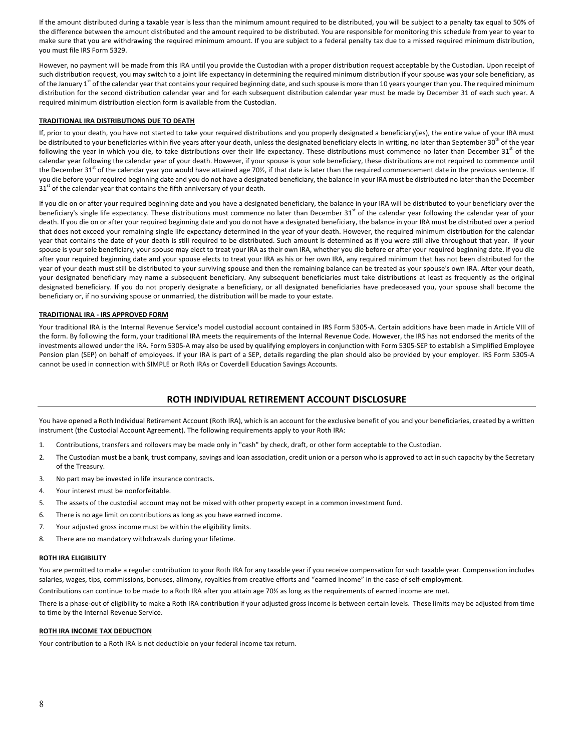If the amount distributed during a taxable year is less than the minimum amount required to be distributed, you will be subject to a penalty tax equal to 50% of the difference between the amount distributed and the amount required to be distributed. You are responsible for monitoring this schedule from year to year to make sure that you are withdrawing the required minimum amount. If you are subject to a federal penalty tax due to a missed required minimum distribution, you must file IRS Form 5329.

However, no payment will be made from this IRA until you provide the Custodian with a proper distribution request acceptable by the Custodian. Upon receipt of such distribution request, you may switch to a joint life expectancy in determining the required minimum distribution if your spouse was your sole beneficiary, as of the January 1<sup>st</sup> of the calendar year that contains your required beginning date, and such spouse is more than 10 years younger than you. The required minimum distribution for the second distribution calendar year and for each subsequent distribution calendar year must be made by December 31 of each such year. A required minimum distribution election form is available from the Custodian.

## **TRADITIONAL IRA DISTRIBUTIONS DUE TO DEATH**

If, prior to your death, you have not started to take your required distributions and you properly designated a beneficiary(ies), the entire value of your IRA must be distributed to your beneficiaries within five years after your death, unless the designated beneficiary elects in writing, no later than September 30<sup>th</sup> of the year following the year in which you die, to take distributions over their life expectancy. These distributions must commence no later than December 31<sup>st</sup> of the calendar year following the calendar year of your death. However, if your spouse is your sole beneficiary, these distributions are not required to commence until the December 31<sup>st</sup> of the calendar year you would have attained age 70½, if that date is later than the required commencement date in the previous sentence. If you die before your required beginning date and you do not have a designated beneficiary, the balance in your IRA must be distributed no later than the December  $31^{\circ}$  of the calendar year that contains the fifth anniversary of your death.

If you die on or after your required beginning date and you have a designated beneficiary, the balance in your IRA will be distributed to your beneficiary over the beneficiary's single life expectancy. These distributions must commence no later than December  $31<sup>st</sup>$  of the calendar year following the calendar year of your death. If you die on or after your required beginning date and you do not have a designated beneficiary, the balance in your IRA must be distributed over a period that does not exceed your remaining single life expectancy determined in the year of your death. However, the required minimum distribution for the calendar year that contains the date of your death is still required to be distributed. Such amount is determined as if you were still alive throughout that year. If your spouse is your sole beneficiary, your spouse may elect to treat your IRA as their own IRA, whether you die before or after your required beginning date. If you die after your required beginning date and your spouse elects to treat your IRA as his or her own IRA, any required minimum that has not been distributed for the year of your death must still be distributed to your surviving spouse and then the remaining balance can be treated as your spouse's own IRA. After your death, your designated beneficiary may name a subsequent beneficiary. Any subsequent beneficiaries must take distributions at least as frequently as the original designated beneficiary. If you do not properly designate a beneficiary, or all designated beneficiaries have predeceased you, your spouse shall become the beneficiary or, if no surviving spouse or unmarried, the distribution will be made to your estate.

## **TRADITIONAL IRA - IRS APPROVED FORM**

Your traditional IRA is the Internal Revenue Service's model custodial account contained in IRS Form 5305-A. Certain additions have been made in Article VIII of the form. By following the form, your traditional IRA meets the requirements of the Internal Revenue Code. However, the IRS has not endorsed the merits of the investments allowed under the IRA. Form 5305-A may also be used by qualifying employers in conjunction with Form 5305-SEP to establish a Simplified Employee Pension plan (SEP) on behalf of employees. If your IRA is part of a SEP, details regarding the plan should also be provided by your employer. IRS Form 5305-A cannot be used in connection with SIMPLE or Roth IRAs or Coverdell Education Savings Accounts.

# **ROTH INDIVIDUAL RETIREMENT ACCOUNT DISCLOSURE**

You have opened a Roth Individual Retirement Account (Roth IRA), which is an account for the exclusive benefit of you and your beneficiaries, created by a written instrument (the Custodial Account Agreement). The following requirements apply to your Roth IRA:

- 1. Contributions, transfers and rollovers may be made only in "cash" by check, draft, or other form acceptable to the Custodian.
- 2. The Custodian must be a bank, trust company, savings and loan association, credit union or a person who is approved to act in such capacity by the Secretary of the Treasury.
- 3. No part may be invested in life insurance contracts.
- 4. Your interest must be nonforfeitable.
- 5. The assets of the custodial account may not be mixed with other property except in a common investment fund.
- 6. There is no age limit on contributions as long as you have earned income.
- 7. Your adjusted gross income must be within the eligibility limits.
- 8. There are no mandatory withdrawals during your lifetime.

#### **ROTH IRA ELIGIBILITY**

You are permitted to make a regular contribution to your Roth IRA for any taxable year if you receive compensation for such taxable year. Compensation includes salaries, wages, tips, commissions, bonuses, alimony, royalties from creative efforts and "earned income" in the case of self-employment.

Contributions can continue to be made to a Roth IRA after you attain age 70% as long as the requirements of earned income are met.

There is a phase-out of eligibility to make a Roth IRA contribution if your adjusted gross income is between certain levels. These limits may be adjusted from time to time by the Internal Revenue Service.

#### **ROTH IRA INCOME TAX DEDUCTION**

Your contribution to a Roth IRA is not deductible on your federal income tax return.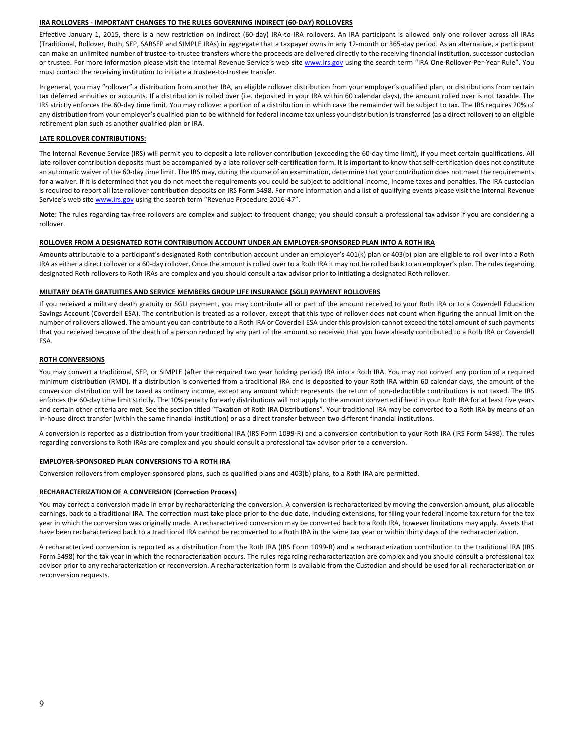#### **IRA ROLLOVERS - IMPORTANT CHANGES TO THE RULES GOVERNING INDIRECT (60-DAY) ROLLOVERS**

Effective January 1, 2015, there is a new restriction on indirect (60-day) IRA-to-IRA rollovers. An IRA participant is allowed only one rollover across all IRAs (Traditional, Rollover, Roth, SEP, SARSEP and SIMPLE IRAs) in aggregate that a taxpayer owns in any 12-month or 365-day period. As an alternative, a participant can make an unlimited number of trustee-to-trustee transfers where the proceeds are delivered directly to the receiving financial institution, successor custodian or trustee. For more information please visit the Internal Revenue Service's web site www.irs.gov using the search term "IRA One-Rollover-Per-Year Rule". You must contact the receiving institution to initiate a trustee-to-trustee transfer.

In general, you may "rollover" a distribution from another IRA, an eligible rollover distribution from your employer's qualified plan, or distributions from certain tax deferred annuities or accounts. If a distribution is rolled over (i.e. deposited in your IRA within 60 calendar days), the amount rolled over is not taxable. The IRS strictly enforces the 60-day time limit. You may rollover a portion of a distribution in which case the remainder will be subject to tax. The IRS requires 20% of any distribution from your employer's qualified plan to be withheld for federal income tax unless your distribution is transferred (as a direct rollover) to an eligible retirement plan such as another qualified plan or IRA.

#### **LATE ROLLOVER CONTRIBUTIONS:**

The Internal Revenue Service (IRS) will permit you to deposit a late rollover contribution (exceeding the 60-day time limit), if you meet certain qualifications. All late rollover contribution deposits must be accompanied by a late rollover self-certification form. It is important to know that self-certification does not constitute an automatic waiver of the 60-day time limit. The IRS may, during the course of an examination, determine that your contribution does not meet the requirements for a waiver. If it is determined that you do not meet the requirements you could be subject to additional income, income taxes and penalties. The IRA custodian is required to report all late rollover contribution deposits on IRS Form 5498. For more information and a list of qualifying events please visit the Internal Revenue Service's web site www.irs.gov using the search term "Revenue Procedure 2016-47".

Note: The rules regarding tax-free rollovers are complex and subject to frequent change; you should consult a professional tax advisor if you are considering a rollover.

#### ROLLOVER FROM A DESIGNATED ROTH CONTRIBUTION ACCOUNT UNDER AN EMPLOYER-SPONSORED PLAN INTO A ROTH IRA

Amounts attributable to a participant's designated Roth contribution account under an employer's 401(k) plan or 403(b) plan are eligible to roll over into a Roth IRA as either a direct rollover or a 60-day rollover. Once the amount is rolled over to a Roth IRA it may not be rolled back to an employer's plan. The rules regarding designated Roth rollovers to Roth IRAs are complex and you should consult a tax advisor prior to initiating a designated Roth rollover.

#### **MILITARY DEATH GRATUITIES AND SERVICE MEMBERS GROUP LIFE INSURANCE (SGLI) PAYMENT ROLLOVERS**

If you received a military death gratuity or SGLI payment, you may contribute all or part of the amount received to your Roth IRA or to a Coverdell Education Savings Account (Coverdell ESA). The contribution is treated as a rollover, except that this type of rollover does not count when figuring the annual limit on the number of rollovers allowed. The amount you can contribute to a Roth IRA or Coverdell ESA under this provision cannot exceed the total amount of such payments that you received because of the death of a person reduced by any part of the amount so received that you have already contributed to a Roth IRA or Coverdell ESA.

## **ROTH CONVERSIONS**

You may convert a traditional, SEP, or SIMPLE (after the required two year holding period) IRA into a Roth IRA. You may not convert any portion of a required minimum distribution (RMD). If a distribution is converted from a traditional IRA and is deposited to your Roth IRA within 60 calendar days, the amount of the conversion distribution will be taxed as ordinary income, except any amount which represents the return of non-deductible contributions is not taxed. The IRS enforces the 60-day time limit strictly. The 10% penalty for early distributions will not apply to the amount converted if held in your Roth IRA for at least five years and certain other criteria are met. See the section titled "Taxation of Roth IRA Distributions". Your traditional IRA may be converted to a Roth IRA by means of an in-house direct transfer (within the same financial institution) or as a direct transfer between two different financial institutions.

A conversion is reported as a distribution from your traditional IRA (IRS Form 1099-R) and a conversion contribution to your Roth IRA (IRS Form 5498). The rules regarding conversions to Roth IRAs are complex and you should consult a professional tax advisor prior to a conversion.

#### **EMPLOYER-SPONSORED PLAN CONVERSIONS TO A ROTH IRA**

Conversion rollovers from employer-sponsored plans, such as qualified plans and 403(b) plans, to a Roth IRA are permitted.

#### **RECHARACTERIZATION OF A CONVERSION (Correction Process)**

You may correct a conversion made in error by recharacterizing the conversion. A conversion is recharacterized by moving the conversion amount, plus allocable earnings, back to a traditional IRA. The correction must take place prior to the due date, including extensions, for filing your federal income tax return for the tax year in which the conversion was originally made. A recharacterized conversion may be converted back to a Roth IRA, however limitations may apply. Assets that have been recharacterized back to a traditional IRA cannot be reconverted to a Roth IRA in the same tax year or within thirty days of the recharacterization.

A recharacterized conversion is reported as a distribution from the Roth IRA (IRS Form 1099-R) and a recharacterization contribution to the traditional IRA (IRS Form 5498) for the tax year in which the recharacterization occurs. The rules regarding recharacterization are complex and you should consult a professional tax advisor prior to any recharacterization or reconversion. A recharacterization form is available from the Custodian and should be used for all recharacterization or reconversion requests.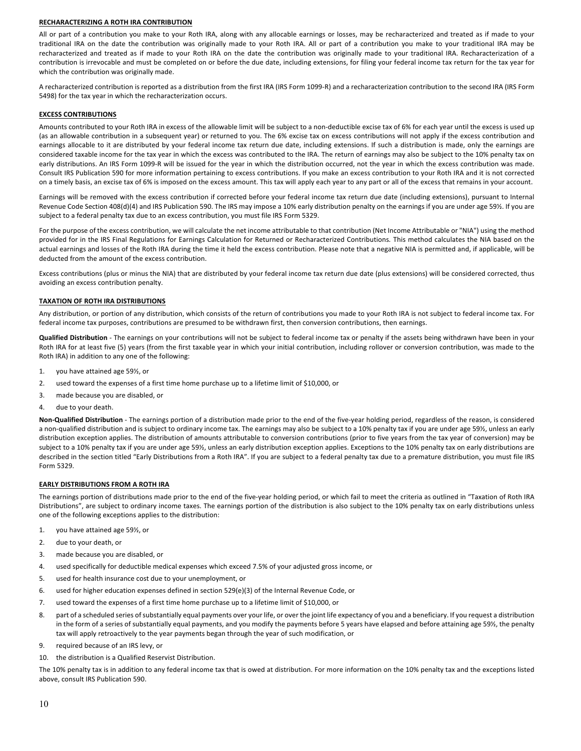#### **RECHARACTERIZING A ROTH IRA CONTRIBUTION**

All or part of a contribution you make to your Roth IRA, along with any allocable earnings or losses, may be recharacterized and treated as if made to your traditional IRA on the date the contribution was originally made to your Roth IRA. All or part of a contribution you make to your traditional IRA may be recharacterized and treated as if made to your Roth IRA on the date the contribution was originally made to your traditional IRA. Recharacterization of a contribution is irrevocable and must be completed on or before the due date, including extensions, for filing your federal income tax return for the tax year for which the contribution was originally made.

A recharacterized contribution is reported as a distribution from the first IRA (IRS Form 1099-R) and a recharacterization contribution to the second IRA (IRS Form 5498) for the tax year in which the recharacterization occurs.

#### **EXCESS CONTRIBUTIONS**

Amounts contributed to your Roth IRA in excess of the allowable limit will be subject to a non-deductible excise tax of 6% for each year until the excess is used up (as an allowable contribution in a subsequent year) or returned to you. The 6% excise tax on excess contributions will not apply if the excess contribution and earnings allocable to it are distributed by your federal income tax return due date, including extensions. If such a distribution is made, only the earnings are considered taxable income for the tax year in which the excess was contributed to the IRA. The return of earnings may also be subject to the 10% penalty tax on early distributions. An IRS Form 1099-R will be issued for the year in which the distribution occurred, not the year in which the excess contribution was made. Consult IRS Publication 590 for more information pertaining to excess contributions. If you make an excess contribution to your Roth IRA and it is not corrected on a timely basis, an excise tax of 6% is imposed on the excess amount. This tax will apply each year to any part or all of the excess that remains in your account.

Earnings will be removed with the excess contribution if corrected before your federal income tax return due date (including extensions), pursuant to Internal Revenue Code Section 408(d)(4) and IRS Publication 590. The IRS may impose a 10% early distribution penalty on the earnings if you are under age 59%. If you are subject to a federal penalty tax due to an excess contribution, you must file IRS Form 5329.

For the purpose of the excess contribution, we will calculate the net income attributable to that contribution (Net Income Attributable or "NIA") using the method provided for in the IRS Final Regulations for Earnings Calculation for Returned or Recharacterized Contributions. This method calculates the NIA based on the actual earnings and losses of the Roth IRA during the time it held the excess contribution. Please note that a negative NIA is permitted and, if applicable, will be deducted from the amount of the excess contribution.

Excess contributions (plus or minus the NIA) that are distributed by your federal income tax return due date (plus extensions) will be considered corrected, thus avoiding an excess contribution penalty.

#### **TAXATION OF ROTH IRA DISTRIBUTIONS**

Any distribution, or portion of any distribution, which consists of the return of contributions you made to your Roth IRA is not subject to federal income tax. For federal income tax purposes, contributions are presumed to be withdrawn first, then conversion contributions, then earnings.

Qualified Distribution - The earnings on your contributions will not be subject to federal income tax or penalty if the assets being withdrawn have been in your Roth IRA for at least five (5) years (from the first taxable year in which your initial contribution, including rollover or conversion contribution, was made to the Roth IRA) in addition to any one of the following:

- 1. vou have attained age 59%, or
- 2. used toward the expenses of a first time home purchase up to a lifetime limit of \$10,000, or
- 3. made because you are disabled, or
- 4. due to your death.

Non-Qualified Distribution - The earnings portion of a distribution made prior to the end of the five-year holding period, regardless of the reason, is considered a non-qualified distribution and is subject to ordinary income tax. The earnings may also be subject to a 10% penalty tax if you are under age 59%, unless an early distribution exception applies. The distribution of amounts attributable to conversion contributions (prior to five years from the tax year of conversion) may be subject to a 10% penalty tax if you are under age 59½, unless an early distribution exception applies. Exceptions to the 10% penalty tax on early distributions are described in the section titled "Early Distributions from a Roth IRA". If you are subject to a federal penalty tax due to a premature distribution, you must file IRS Form 5329.

#### **EARLY DISTRIBUTIONS FROM A ROTH IRA**

The earnings portion of distributions made prior to the end of the five-year holding period, or which fail to meet the criteria as outlined in "Taxation of Roth IRA Distributions", are subject to ordinary income taxes. The earnings portion of the distribution is also subject to the 10% penalty tax on early distributions unless one of the following exceptions applies to the distribution:

- 1. you have attained age 591/2, or
- 2. due to your death, or
- 3. made because you are disabled, or
- 4. used specifically for deductible medical expenses which exceed 7.5% of your adjusted gross income, or
- 5. used for health insurance cost due to your unemployment, or
- 6. used for higher education expenses defined in section  $529(e)(3)$  of the Internal Revenue Code, or
- 7. used toward the expenses of a first time home purchase up to a lifetime limit of \$10,000, or
- 8. part of a scheduled series of substantially equal payments over your life, or over the joint life expectancy of you and a beneficiary. If you request a distribution in the form of a series of substantially equal payments, and you modify the payments before 5 years have elapsed and before attaining age 59½, the penalty tax will apply retroactively to the year payments began through the year of such modification, or
- 9. required because of an IRS levy, or
- 10. the distribution is a Qualified Reservist Distribution.

The 10% penalty tax is in addition to any federal income tax that is owed at distribution. For more information on the 10% penalty tax and the exceptions listed above, consult IRS Publication 590.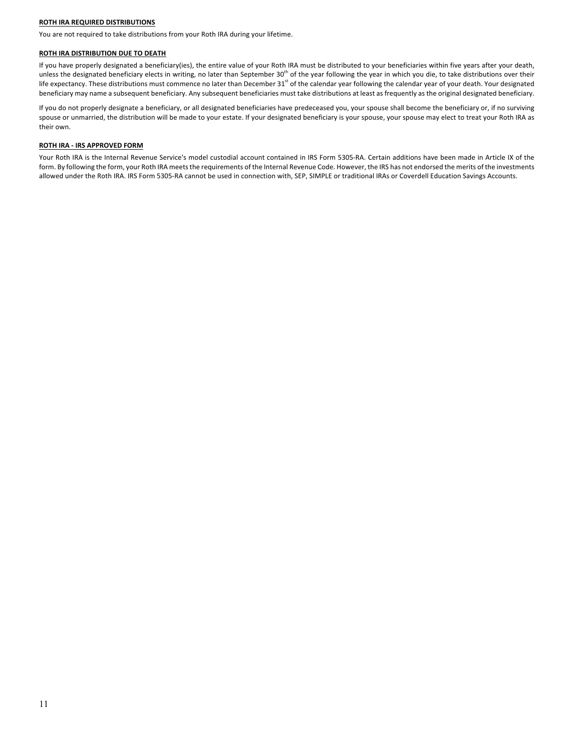#### **ROTH IRA REQUIRED DISTRIBUTIONS**

You are not required to take distributions from your Roth IRA during your lifetime.

#### **ROTH IRA DISTRIBUTION DUE TO DEATH**

If you have properly designated a beneficiary(ies), the entire value of your Roth IRA must be distributed to your beneficiaries within five years after your death, unless the designated beneficiary elects in writing, no later than September  $30<sup>th</sup>$  of the year following the year in which you die, to take distributions over their life expectancy. These distributions must commence no later than December 31<sup>st</sup> of the calendar year following the calendar year of your death. Your designated beneficiary may name a subsequent beneficiary. Any subsequent beneficiaries must take distributions at least as frequently as the original designated beneficiary.

If you do not properly designate a beneficiary, or all designated beneficiaries have predeceased you, your spouse shall become the beneficiary or, if no surviving spouse or unmarried, the distribution will be made to your estate. If your designated beneficiary is your spouse, your spouse may elect to treat your Roth IRA as their own.

#### **ROTH IRA - IRS APPROVED FORM**

Your Roth IRA is the Internal Revenue Service's model custodial account contained in IRS Form 5305-RA. Certain additions have been made in Article IX of the form. By following the form, your Roth IRA meets the requirements of the Internal Revenue Code. However, the IRS has not endorsed the merits of the investments allowed under the Roth IRA. IRS Form 5305-RA cannot be used in connection with, SEP, SIMPLE or traditional IRAs or Coverdell Education Savings Accounts.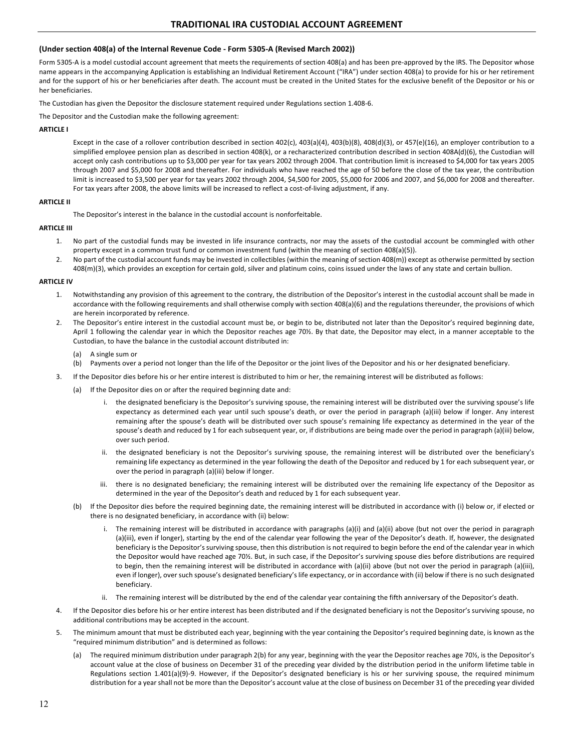# (Under section 408(a) of the Internal Revenue Code - Form 5305-A (Revised March 2002))

Form 5305-A is a model custodial account agreement that meets the requirements of section 408(a) and has been pre-approved by the IRS. The Depositor whose name appears in the accompanying Application is establishing an Individual Retirement Account ("IRA") under section 408(a) to provide for his or her retirement and for the support of his or her beneficiaries after death. The account must be created in the United States for the exclusive benefit of the Depositor or his or her beneficiaries.

The Custodian has given the Depositor the disclosure statement required under Regulations section 1.408-6.

The Depositor and the Custodian make the following agreement:

# **ARTICLE I**

Except in the case of a rollover contribution described in section  $402(c)$ ,  $403(a)(4)$ ,  $403(b)(8)$ ,  $408(d)(3)$ , or  $457(e)(16)$ , an employer contribution to a simplified employee pension plan as described in section 408(k), or a recharacterized contribution described in section 408A(d)(6), the Custodian will accept only cash contributions up to \$3,000 per year for tax years 2002 through 2004. That contribution limit is increased to \$4,000 for tax years 2005 through 2007 and \$5,000 for 2008 and thereafter. For individuals who have reached the age of 50 before the close of the tax year, the contribution limit is increased to \$3,500 per year for tax years 2002 through 2004, \$4,500 for 2005, \$5,000 for 2006 and 2007, and \$6,000 for 2008 and thereafter. For tax years after 2008, the above limits will be increased to reflect a cost-of-living adjustment, if any.

## **ARTICLE II**

The Depositor's interest in the balance in the custodial account is nonforfeitable.

## **ARTICLE III**

- 1. No part of the custodial funds may be invested in life insurance contracts, nor may the assets of the custodial account be commingled with other property except in a common trust fund or common investment fund (within the meaning of section 408(a)(5)).
- 2. No part of the custodial account funds may be invested in collectibles (within the meaning of section 408(m)) except as otherwise permitted by section 408(m)(3), which provides an exception for certain gold, silver and platinum coins, coins issued under the laws of any state and certain bullion.

## **ARTICLE IV**

- Notwithstanding any provision of this agreement to the contrary, the distribution of the Depositor's interest in the custodial account shall be made in accordance with the following requirements and shall otherwise comply with section 408(a)(6) and the regulations thereunder, the provisions of which are herein incorporated by reference.
- 2. The Depositor's entire interest in the custodial account must be, or begin to be, distributed not later than the Depositor's required beginning date, April 1 following the calendar year in which the Depositor reaches age 70%. By that date, the Depositor may elect, in a manner acceptable to the Custodian, to have the balance in the custodial account distributed in:
	- $(a)$  A single sum or
	- (b) Payments over a period not longer than the life of the Depositor or the joint lives of the Depositor and his or her designated beneficiary.
- 3. If the Depositor dies before his or her entire interest is distributed to him or her, the remaining interest will be distributed as follows:
	- (a) If the Depositor dies on or after the required beginning date and:
		- i. the designated beneficiary is the Depositor's surviving spouse, the remaining interest will be distributed over the surviving spouse's life expectancy as determined each year until such spouse's death, or over the period in paragraph (a)(iii) below if longer. Any interest remaining after the spouse's death will be distributed over such spouse's remaining life expectancy as determined in the year of the spouse's death and reduced by 1 for each subsequent year, or, if distributions are being made over the period in paragraph (a)(iii) below, over such period.
		- ii. the designated beneficiary is not the Depositor's surviving spouse, the remaining interest will be distributed over the beneficiary's remaining life expectancy as determined in the year following the death of the Depositor and reduced by 1 for each subsequent year, or over the period in paragraph (a)(iii) below if longer.
		- iii. there is no designated beneficiary; the remaining interest will be distributed over the remaining life expectancy of the Depositor as determined in the year of the Depositor's death and reduced by 1 for each subsequent year.
		- (b) If the Depositor dies before the required beginning date, the remaining interest will be distributed in accordance with (i) below or, if elected or there is no designated beneficiary, in accordance with (ii) below:
			- i. The remaining interest will be distributed in accordance with paragraphs (a)(i) and (a)(ii) above (but not over the period in paragraph (a)(iii), even if longer), starting by the end of the calendar year following the year of the Depositor's death. If, however, the designated beneficiary is the Depositor's surviving spouse, then this distribution is not required to begin before the end of the calendar year in which the Depositor would have reached age 70%. But, in such case, if the Depositor's surviving spouse dies before distributions are required to begin, then the remaining interest will be distributed in accordance with  $(a)(ii)$  above (but not over the period in paragraph  $(a)(iii)$ , even if longer), over such spouse's designated beneficiary's life expectancy, or in accordance with (ii) below if there is no such designated beneficiary.
			- ii. The remaining interest will be distributed by the end of the calendar year containing the fifth anniversary of the Depositor's death.
- 4. If the Depositor dies before his or her entire interest has been distributed and if the designated beneficiary is not the Depositor's surviving spouse, no additional contributions may be accepted in the account.
- 5. The minimum amount that must be distributed each year, beginning with the year containing the Depositor's required beginning date, is known as the "required minimum distribution" and is determined as follows:
	- (a) The required minimum distribution under paragraph 2(b) for any year, beginning with the year the Depositor reaches age 70%, is the Depositor's account value at the close of business on December 31 of the preceding year divided by the distribution period in the uniform lifetime table in Regulations section 1.401(a)(9)-9. However, if the Depositor's designated beneficiary is his or her surviving spouse, the required minimum distribution for a year shall not be more than the Depositor's account value at the close of business on December 31 of the preceding year divided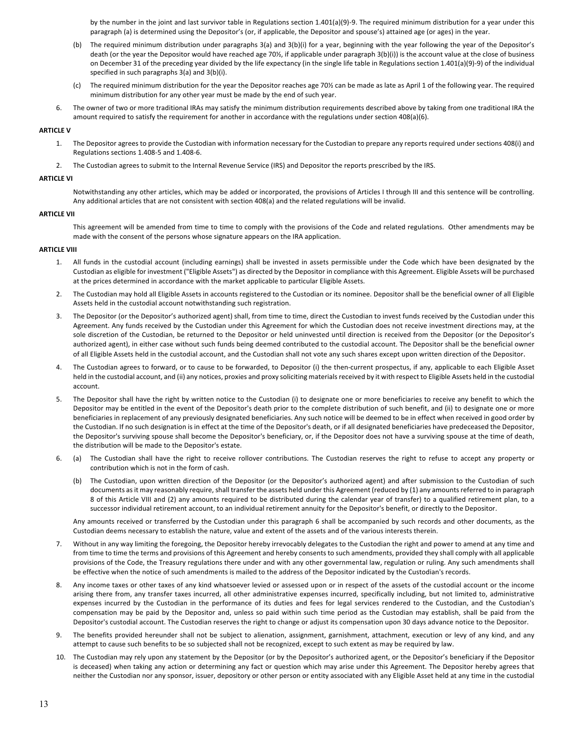by the number in the joint and last survivor table in Regulations section 1.401(a)(9)-9. The required minimum distribution for a year under this paragraph (a) is determined using the Depositor's (or, if applicable, the Depositor and spouse's) attained age (or ages) in the year.

- (b) The required minimum distribution under paragraphs 3(a) and 3(b)(i) for a year, beginning with the year following the year of the Depositor's death (or the year the Depositor would have reached age 70%, if applicable under paragraph  $3(b)(i)$ ) is the account value at the close of business on December 31 of the preceding year divided by the life expectancy (in the single life table in Regulations section 1.401(a)(9)-9) of the individual specified in such paragraphs 3(a) and 3(b)(i).
- (c) The required minimum distribution for the year the Depositor reaches age 70% can be made as late as April 1 of the following year. The required minimum distribution for any other year must be made by the end of such year.
- 6. The owner of two or more traditional IRAs may satisfy the minimum distribution requirements described above by taking from one traditional IRA the amount required to satisfy the requirement for another in accordance with the regulations under section  $408(a)(6)$ .

#### **ARTICLE V**

- 1. The Depositor agrees to provide the Custodian with information necessary for the Custodian to prepare any reports required under sections 408(i) and Regulations sections 1.408-5 and 1.408-6.
- 2. The Custodian agrees to submit to the Internal Revenue Service (IRS) and Depositor the reports prescribed by the IRS.

#### **ARTICLE VI**

Notwithstanding any other articles, which may be added or incorporated, the provisions of Articles I through III and this sentence will be controlling. Any additional articles that are not consistent with section 408(a) and the related regulations will be invalid.

#### **ARTICLE VII**

This agreement will be amended from time to time to comply with the provisions of the Code and related regulations. Other amendments may be made with the consent of the persons whose signature appears on the IRA application.

#### **ARTICLE VIII**

- 1. All funds in the custodial account (including earnings) shall be invested in assets permissible under the Code which have been designated by the Custodian as eligible for investment ("Eligible Assets") as directed by the Depositor in compliance with this Agreement. Eligible Assets will be purchased at the prices determined in accordance with the market applicable to particular Eligible Assets.
- 2. The Custodian may hold all Eligible Assets in accounts registered to the Custodian or its nominee. Depositor shall be the beneficial owner of all Eligible Assets held in the custodial account notwithstanding such registration.
- 3. The Depositor (or the Depositor's authorized agent) shall, from time to time, direct the Custodian to invest funds received by the Custodian under this Agreement. Any funds received by the Custodian under this Agreement for which the Custodian does not receive investment directions may, at the sole discretion of the Custodian, be returned to the Depositor or held uninvested until direction is received from the Depositor (or the Depositor's authorized agent), in either case without such funds being deemed contributed to the custodial account. The Depositor shall be the beneficial owner of all Eligible Assets held in the custodial account, and the Custodian shall not vote any such shares except upon written direction of the Depositor.
- 4. The Custodian agrees to forward, or to cause to be forwarded, to Depositor (i) the then-current prospectus, if any, applicable to each Eligible Asset held in the custodial account, and (ii) any notices, proxies and proxy soliciting materials received by it with respect to Eligible Assets held in the custodial account.
- 5. The Depositor shall have the right by written notice to the Custodian (i) to designate one or more beneficiaries to receive any benefit to which the Depositor may be entitled in the event of the Depositor's death prior to the complete distribution of such benefit, and (ii) to designate one or more beneficiaries in replacement of any previously designated beneficiaries. Any such notice will be deemed to be in effect when received in good order by the Custodian. If no such designation is in effect at the time of the Depositor's death, or if all designated beneficiaries have predeceased the Depositor, the Depositor's surviving spouse shall become the Depositor's beneficiary, or, if the Depositor does not have a surviving spouse at the time of death, the distribution will be made to the Depositor's estate.
- 6. (a) The Custodian shall have the right to receive rollover contributions. The Custodian reserves the right to refuse to accept any property or contribution which is not in the form of cash.
	- (b) The Custodian, upon written direction of the Depositor (or the Depositor's authorized agent) and after submission to the Custodian of such documents as it may reasonably require, shall transfer the assets held under this Agreement (reduced by (1) any amounts referred to in paragraph 8 of this Article VIII and (2) any amounts required to be distributed during the calendar year of transfer) to a qualified retirement plan, to a successor individual retirement account, to an individual retirement annuity for the Depositor's benefit, or directly to the Depositor.

Any amounts received or transferred by the Custodian under this paragraph 6 shall be accompanied by such records and other documents, as the Custodian deems necessary to establish the nature, value and extent of the assets and of the various interests therein.

- 7. Without in any way limiting the foregoing, the Depositor hereby irrevocably delegates to the Custodian the right and power to amend at any time and from time to time the terms and provisions of this Agreement and hereby consents to such amendments, provided they shall comply with all applicable provisions of the Code, the Treasury regulations there under and with any other governmental law, regulation or ruling. Any such amendments shall be effective when the notice of such amendments is mailed to the address of the Depositor indicated by the Custodian's records.
- 8. Any income taxes or other taxes of any kind whatsoever levied or assessed upon or in respect of the assets of the custodial account or the income arising there from, any transfer taxes incurred, all other administrative expenses incurred, specifically including, but not limited to, administrative expenses incurred by the Custodian in the performance of its duties and fees for legal services rendered to the Custodian, and the Custodian's compensation may be paid by the Depositor and, unless so paid within such time period as the Custodian may establish, shall be paid from the Depositor's custodial account. The Custodian reserves the right to change or adjust its compensation upon 30 days advance notice to the Depositor.
- 9. The benefits provided hereunder shall not be subject to alienation, assignment, garnishment, attachment, execution or levy of any kind, and any attempt to cause such benefits to be so subjected shall not be recognized, except to such extent as may be required by law.
- 10. The Custodian may rely upon any statement by the Depositor (or by the Depositor's authorized agent, or the Depositor's beneficiary if the Depositor is deceased) when taking any action or determining any fact or question which may arise under this Agreement. The Depositor hereby agrees that neither the Custodian nor any sponsor, issuer, depository or other person or entity associated with any Eligible Asset held at any time in the custodial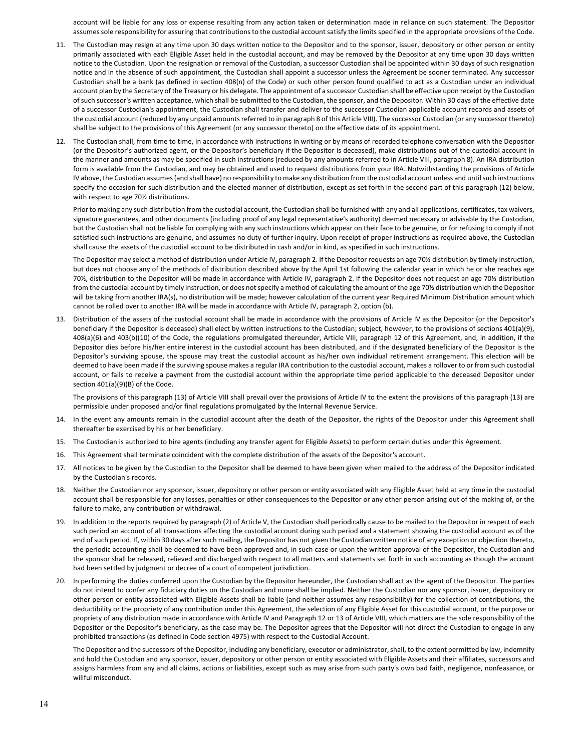account will be liable for any loss or expense resulting from any action taken or determination made in reliance on such statement. The Depositor assumes sole responsibility for assuring that contributions to the custodial account satisfy the limits specified in the appropriate provisions of the Code.

- 11. The Custodian may resign at any time upon 30 days written notice to the Depositor and to the sponsor, issuer, depository or other person or entity primarily associated with each Eligible Asset held in the custodial account, and may be removed by the Depositor at any time upon 30 days written notice to the Custodian. Upon the resignation or removal of the Custodian, a successor Custodian shall be appointed within 30 days of such resignation notice and in the absence of such appointment, the Custodian shall appoint a successor unless the Agreement be sooner terminated. Any successor Custodian shall be a bank (as defined in section 408(n) of the Code) or such other person found qualified to act as a Custodian under an individual account plan by the Secretary of the Treasury or his delegate. The appointment of a successor Custodian shall be effective upon receipt by the Custodian of such successor's written acceptance, which shall be submitted to the Custodian, the sponsor, and the Depositor. Within 30 days of the effective date of a successor Custodian's appointment, the Custodian shall transfer and deliver to the successor Custodian applicable account records and assets of the custodial account (reduced by any unpaid amounts referred to in paragraph 8 of this Article VIII). The successor Custodian (or any successor thereto) shall be subject to the provisions of this Agreement (or any successor thereto) on the effective date of its appointment.
- 12. The Custodian shall, from time to time, in accordance with instructions in writing or by means of recorded telephone conversation with the Depositor (or the Depositor's authorized agent, or the Depositor's beneficiary if the Depositor is deceased), make distributions out of the custodial account in the manner and amounts as may be specified in such instructions (reduced by any amounts referred to in Article VIII, paragraph 8). An IRA distribution form is available from the Custodian, and may be obtained and used to request distributions from your IRA. Notwithstanding the provisions of Article IV above, the Custodian assumes (and shall have) no responsibility to make any distribution from the custodial account unless and until such instructions specify the occasion for such distribution and the elected manner of distribution, except as set forth in the second part of this paragraph (12) below, with respect to age 70% distributions.

Prior to making any such distribution from the custodial account, the Custodian shall be furnished with any and all applications, certificates, tax waivers, signature guarantees, and other documents (including proof of any legal representative's authority) deemed necessary or advisable by the Custodian, but the Custodian shall not be liable for complying with any such instructions which appear on their face to be genuine, or for refusing to comply if not satisfied such instructions are genuine, and assumes no duty of further inquiry. Upon receipt of proper instructions as required above, the Custodian shall cause the assets of the custodial account to be distributed in cash and/or in kind, as specified in such instructions.

The Depositor may select a method of distribution under Article IV, paragraph 2. If the Depositor requests an age 70% distribution by timely instruction, but does not choose any of the methods of distribution described above by the April 1st following the calendar year in which he or she reaches age 70%, distribution to the Depositor will be made in accordance with Article IV, paragraph 2. If the Depositor does not request an age 70% distribution from the custodial account by timely instruction, or does not specify a method of calculating the amount of the age 70% distribution which the Depositor will be taking from another IRA(s), no distribution will be made; however calculation of the current year Required Minimum Distribution amount which cannot be rolled over to another IRA will be made in accordance with Article IV, paragraph 2, option (b).

13. Distribution of the assets of the custodial account shall be made in accordance with the provisions of Article IV as the Depositor (or the Depositor's beneficiary if the Depositor is deceased) shall elect by written instructions to the Custodian; subject, however, to the provisions of sections 401(a)(9), 408(a)(6) and 403(b)(10) of the Code, the regulations promulgated thereunder, Article VIII, paragraph 12 of this Agreement, and, in addition, if the Depositor dies before his/her entire interest in the custodial account has been distributed, and if the designated beneficiary of the Depositor is the Depositor's surviving spouse, the spouse may treat the custodial account as his/her own individual retirement arrangement. This election will be deemed to have been made if the surviving spouse makes a regular IRA contribution to the custodial account, makes a rollover to or from such custodial account, or fails to receive a payment from the custodial account within the appropriate time period applicable to the deceased Depositor under section  $401(a)(9)(B)$  of the Code.

The provisions of this paragraph (13) of Article VIII shall prevail over the provisions of Article IV to the extent the provisions of this paragraph (13) are permissible under proposed and/or final regulations promulgated by the Internal Revenue Service.

- 14. In the event any amounts remain in the custodial account after the death of the Depositor, the rights of the Depositor under this Agreement shall thereafter be exercised by his or her beneficiary.
- 15. The Custodian is authorized to hire agents (including any transfer agent for Eligible Assets) to perform certain duties under this Agreement.
- 16. This Agreement shall terminate coincident with the complete distribution of the assets of the Depositor's account.
- 17. All notices to be given by the Custodian to the Depositor shall be deemed to have been given when mailed to the address of the Depositor indicated by the Custodian's records.
- 18. Neither the Custodian nor any sponsor, issuer, depository or other person or entity associated with any Eligible Asset held at any time in the custodial account shall be responsible for any losses, penalties or other consequences to the Depositor or any other person arising out of the making of, or the failure to make, any contribution or withdrawal.
- 19. In addition to the reports required by paragraph (2) of Article V, the Custodian shall periodically cause to be mailed to the Depositor in respect of each such period an account of all transactions affecting the custodial account during such period and a statement showing the custodial account as of the end of such period. If, within 30 days after such mailing, the Depositor has not given the Custodian written notice of any exception or objection thereto, the periodic accounting shall be deemed to have been approved and, in such case or upon the written approval of the Depositor, the Custodian and the sponsor shall be released, relieved and discharged with respect to all matters and statements set forth in such accounting as though the account had been settled by judgment or decree of a court of competent jurisdiction.
- 20. In performing the duties conferred upon the Custodian by the Depositor hereunder, the Custodian shall act as the agent of the Depositor. The parties do not intend to confer any fiduciary duties on the Custodian and none shall be implied. Neither the Custodian nor any sponsor, issuer, depository or other person or entity associated with Eligible Assets shall be liable (and neither assumes any responsibility) for the collection of contributions, the deductibility or the propriety of any contribution under this Agreement, the selection of any Eligible Asset for this custodial account, or the purpose or propriety of any distribution made in accordance with Article IV and Paragraph 12 or 13 of Article VIII, which matters are the sole responsibility of the Depositor or the Depositor's beneficiary, as the case may be. The Depositor agrees that the Depositor will not direct the Custodian to engage in any prohibited transactions (as defined in Code section 4975) with respect to the Custodial Account.

The Depositor and the successors of the Depositor, including any beneficiary, executor or administrator, shall, to the extent permitted by law, indemnify and hold the Custodian and any sponsor, issuer, depository or other person or entity associated with Eligible Assets and their affiliates, successors and assigns harmless from any and all claims, actions or liabilities, except such as may arise from such party's own bad faith, negligence, nonfeasance, or willful misconduct.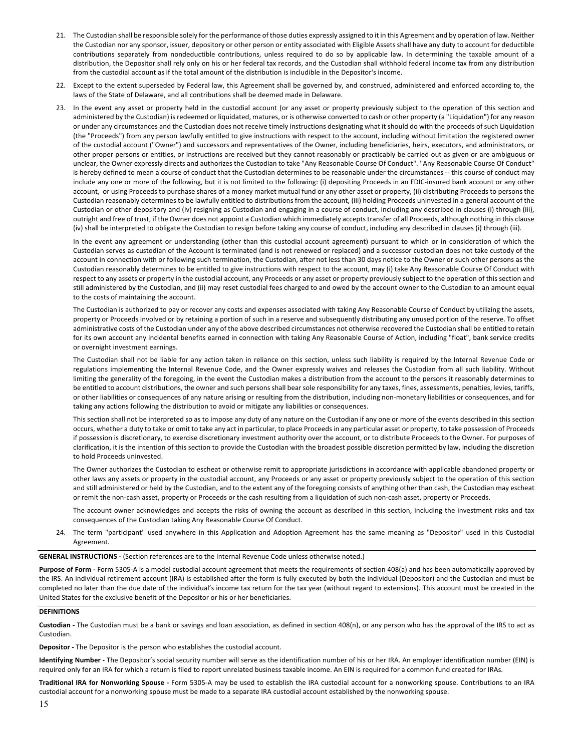- 21. The Custodian shall be responsible solely for the performance of those duties expressly assigned to it in this Agreement and by operation of law. Neither the Custodian nor any sponsor, issuer, depository or other person or entity associated with Eligible Assets shall have any duty to account for deductible contributions separately from nondeductible contributions, unless required to do so by applicable law. In determining the taxable amount of a distribution, the Depositor shall rely only on his or her federal tax records, and the Custodian shall withhold federal income tax from any distribution from the custodial account as if the total amount of the distribution is includible in the Depositor's income.
- 22. Except to the extent superseded by Federal law, this Agreement shall be governed by, and construed, administered and enforced according to, the laws of the State of Delaware, and all contributions shall be deemed made in Delaware.
- 23. In the event any asset or property held in the custodial account (or any asset or property previously subject to the operation of this section and administered by the Custodian) is redeemed or liquidated, matures, or is otherwise converted to cash or other property (a "Liquidation") for any reason or under any circumstances and the Custodian does not receive timely instructions designating what it should do with the proceeds of such Liquidation (the "Proceeds") from any person lawfully entitled to give instructions with respect to the account, including without limitation the registered owner of the custodial account ("Owner") and successors and representatives of the Owner, including beneficiaries, heirs, executors, and administrators, or other proper persons or entities, or instructions are received but they cannot reasonably or practicably be carried out as given or are ambiguous or unclear, the Owner expressly directs and authorizes the Custodian to take "Any Reasonable Course Of Conduct". "Any Reasonable Course Of Conduct" is hereby defined to mean a course of conduct that the Custodian determines to be reasonable under the circumstances -- this course of conduct may include any one or more of the following, but it is not limited to the following: (i) depositing Proceeds in an FDIC-insured bank account or any other account, or using Proceeds to purchase shares of a money market mutual fund or any other asset or property, (ii) distributing Proceeds to persons the Custodian reasonably determines to be lawfully entitled to distributions from the account, (iii) holding Proceeds uninvested in a general account of the Custodian or other depository and (iv) resigning as Custodian and engaging in a course of conduct, including any described in clauses (i) through (iii), outright and free of trust, if the Owner does not appoint a Custodian which immediately accepts transfer of all Proceeds, although nothing in this clause (iv) shall be interpreted to obligate the Custodian to resign before taking any course of conduct, including any described in clauses (i) through (iii).

In the event any agreement or understanding (other than this custodial account agreement) pursuant to which or in consideration of which the Custodian serves as custodian of the Account is terminated (and is not renewed or replaced) and a successor custodian does not take custody of the account in connection with or following such termination, the Custodian, after not less than 30 days notice to the Owner or such other persons as the Custodian reasonably determines to be entitled to give instructions with respect to the account, may (i) take Any Reasonable Course Of Conduct with respect to any assets or property in the custodial account, any Proceeds or any asset or property previously subject to the operation of this section and still administered by the Custodian, and (ii) may reset custodial fees charged to and owed by the account owner to the Custodian to an amount equal to the costs of maintaining the account.

The Custodian is authorized to pay or recover any costs and expenses associated with taking Any Reasonable Course of Conduct by utilizing the assets, property or Proceeds involved or by retaining a portion of such in a reserve and subsequently distributing any unused portion of the reserve. To offset administrative costs of the Custodian under any of the above described circumstances not otherwise recovered the Custodian shall be entitled to retain for its own account any incidental benefits earned in connection with taking Any Reasonable Course of Action, including "float", bank service credits or overnight investment earnings.

The Custodian shall not be liable for any action taken in reliance on this section, unless such liability is required by the Internal Revenue Code or regulations implementing the Internal Revenue Code, and the Owner expressly waives and releases the Custodian from all such liability. Without limiting the generality of the foregoing, in the event the Custodian makes a distribution from the account to the persons it reasonably determines to be entitled to account distributions, the owner and such persons shall bear sole responsibility for any taxes, fines, assessments, penalties, levies, tariffs, or other liabilities or consequences of any nature arising or resulting from the distribution, including non-monetary liabilities or consequences, and for taking any actions following the distribution to avoid or mitigate any liabilities or consequences.

This section shall not be interpreted so as to impose any duty of any nature on the Custodian if any one or more of the events described in this section occurs, whether a duty to take or omit to take any act in particular, to place Proceeds in any particular asset or property, to take possession of Proceeds if possession is discretionary, to exercise discretionary investment authority over the account, or to distribute Proceeds to the Owner. For purposes of clarification, it is the intention of this section to provide the Custodian with the broadest possible discretion permitted by law, including the discretion to hold Proceeds uninvested.

The Owner authorizes the Custodian to escheat or otherwise remit to appropriate jurisdictions in accordance with applicable abandoned property or other laws any assets or property in the custodial account, any Proceeds or any asset or property previously subject to the operation of this section and still administered or held by the Custodian, and to the extent any of the foregoing consists of anything other than cash, the Custodian may escheat or remit the non-cash asset, property or Proceeds or the cash resulting from a liquidation of such non-cash asset, property or Proceeds.

The account owner acknowledges and accepts the risks of owning the account as described in this section, including the investment risks and tax consequences of the Custodian taking Any Reasonable Course Of Conduct.

24. The term "participant" used anywhere in this Application and Adoption Agreement has the same meaning as "Depositor" used in this Custodial Agreement.

## **GENERAL INSTRUCTIONS** - (Section references are to the Internal Revenue Code unless otherwise noted.)

**Purpose of Form** - Form 5305-A is a model custodial account agreement that meets the requirements of section 408(a) and has been automatically approved by the IRS. An individual retirement account (IRA) is established after the form is fully executed by both the individual (Depositor) and the Custodian and must be completed no later than the due date of the individual's income tax return for the tax year (without regard to extensions). This account must be created in the United States for the exclusive benefit of the Depositor or his or her beneficiaries.

#### **DEFINITIONS**

Custodian - The Custodian must be a bank or savings and loan association, as defined in section 408(n), or any person who has the approval of the IRS to act as Custodian.

**Depositor** - The Depositor is the person who establishes the custodial account.

**Identifying Number** - The Depositor's social security number will serve as the identification number of his or her IRA. An employer identification number (EIN) is required only for an IRA for which a return is filed to report unrelated business taxable income. An EIN is required for a common fund created for IRAs.

Traditional IRA for Nonworking Spouse - Form 5305-A may be used to establish the IRA custodial account for a nonworking spouse. Contributions to an IRA custodial account for a nonworking spouse must be made to a separate IRA custodial account established by the nonworking spouse.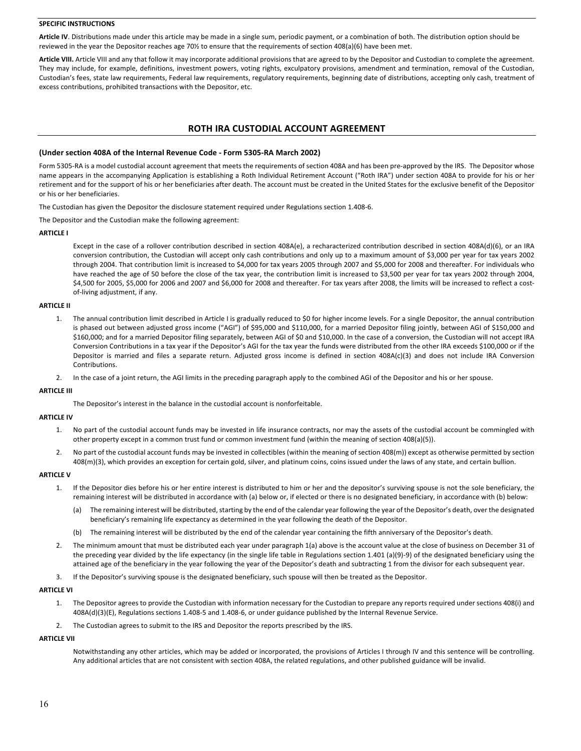# **SPECIFIC INSTRUCTIONS**

Article IV. Distributions made under this article may be made in a single sum, periodic payment, or a combination of both. The distribution option should be reviewed in the year the Depositor reaches age 70½ to ensure that the requirements of section 408(a)(6) have been met.

Article VIII. Article VIII and any that follow it may incorporate additional provisions that are agreed to by the Depositor and Custodian to complete the agreement. They may include, for example, definitions, investment powers, voting rights, exculpatory provisions, amendment and termination, removal of the Custodian, Custodian's fees, state law requirements, Federal law requirements, regulatory requirements, beginning date of distributions, accepting only cash, treatment of excess contributions, prohibited transactions with the Depositor, etc.

# **ROTH IRA CUSTODIAL ACCOUNT AGREEMENT**

#### (Under section 408A of the Internal Revenue Code - Form 5305-RA March 2002)

Form 5305-RA is a model custodial account agreement that meets the requirements of section 408A and has been pre-approved by the IRS. The Depositor whose name appears in the accompanying Application is establishing a Roth Individual Retirement Account ("Roth IRA") under section 408A to provide for his or her retirement and for the support of his or her beneficiaries after death. The account must be created in the United States for the exclusive benefit of the Depositor or his or her beneficiaries.

The Custodian has given the Depositor the disclosure statement required under Regulations section 1.408-6.

The Depositor and the Custodian make the following agreement:

#### **ARTICLE I**

Except in the case of a rollover contribution described in section 408A(e), a recharacterized contribution described in section 408A(d)(6), or an IRA conversion contribution, the Custodian will accept only cash contributions and only up to a maximum amount of \$3,000 per year for tax years 2002 through 2004. That contribution limit is increased to \$4,000 for tax years 2005 through 2007 and \$5,000 for 2008 and thereafter. For individuals who have reached the age of 50 before the close of the tax year, the contribution limit is increased to \$3,500 per year for tax years 2002 through 2004, \$4,500 for 2005, \$5,000 for 2006 and 2007 and \$6,000 for 2008 and thereafter. For tax years after 2008, the limits will be increased to reflect a costof-living adjustment, if any.

#### **ARTICLE II**

- 1. The annual contribution limit described in Article I is gradually reduced to \$0 for higher income levels. For a single Depositor, the annual contribution is phased out between adjusted gross income ("AGI") of \$95,000 and \$110,000, for a married Depositor filing jointly, between AGI of \$150,000 and \$160,000; and for a married Depositor filing separately, between AGI of \$0 and \$10,000. In the case of a conversion, the Custodian will not accept IRA Conversion Contributions in a tax year if the Depositor's AGI for the tax year the funds were distributed from the other IRA exceeds \$100,000 or if the Depositor is married and files a separate return. Adjusted gross income is defined in section 408A(c)(3) and does not include IRA Conversion **Contributions**
- 2. In the case of a joint return, the AGI limits in the preceding paragraph apply to the combined AGI of the Depositor and his or her spouse.

#### **ARTICLE III**

The Depositor's interest in the balance in the custodial account is nonforfeitable.

#### **ARTICLE IV**

- 1. No part of the custodial account funds may be invested in life insurance contracts, nor may the assets of the custodial account be commingled with other property except in a common trust fund or common investment fund (within the meaning of section 408(a)(5)).
- 2. No part of the custodial account funds may be invested in collectibles (within the meaning of section 408(m)) except as otherwise permitted by section 408(m)(3), which provides an exception for certain gold, silver, and platinum coins, coins issued under the laws of any state, and certain bullion.

# **ARTICLE V**

- 1. If the Depositor dies before his or her entire interest is distributed to him or her and the depositor's surviving spouse is not the sole beneficiary, the remaining interest will be distributed in accordance with (a) below or, if elected or there is no designated beneficiary, in accordance with (b) below:
	- (a) The remaining interest will be distributed, starting by the end of the calendar year following the year of the Depositor's death, over the designated beneficiary's remaining life expectancy as determined in the year following the death of the Depositor.
	- (b) The remaining interest will be distributed by the end of the calendar year containing the fifth anniversary of the Depositor's death.
- 2. The minimum amount that must be distributed each year under paragraph 1(a) above is the account value at the close of business on December 31 of the preceding year divided by the life expectancy (in the single life table in Regulations section 1.401 (a)(9)-9) of the designated beneficiary using the attained age of the beneficiary in the year following the year of the Depositor's death and subtracting 1 from the divisor for each subsequent year.
- 3. If the Depositor's surviving spouse is the designated beneficiary, such spouse will then be treated as the Depositor.

# **ARTICLE VI**

- 1. The Depositor agrees to provide the Custodian with information necessary for the Custodian to prepare any reports required under sections 408(i) and  $408A(d)(3)(E)$ , Regulations sections 1.408-5 and 1.408-6, or under guidance published by the Internal Revenue Service.
- 2. The Custodian agrees to submit to the IRS and Depositor the reports prescribed by the IRS.

## **ARTICLE VII**

Notwithstanding any other articles, which may be added or incorporated, the provisions of Articles I through IV and this sentence will be controlling. Any additional articles that are not consistent with section 408A, the related regulations, and other published guidance will be invalid.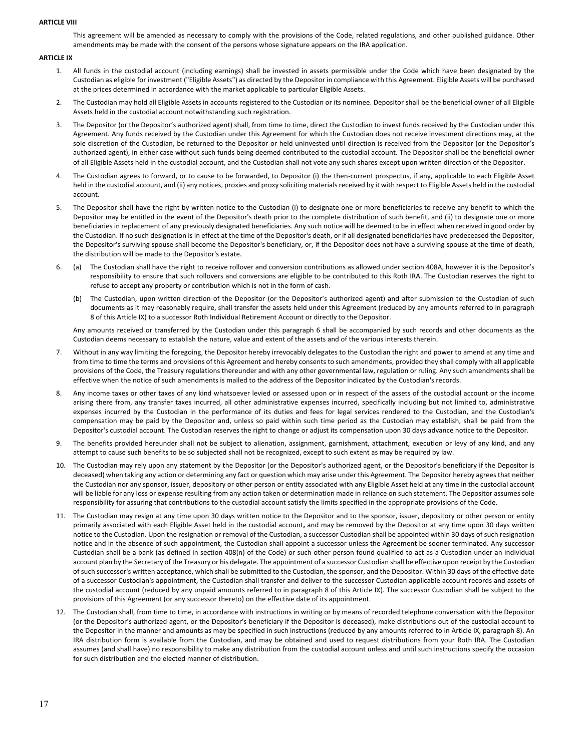#### **ARTICLE VIII**

This agreement will be amended as necessary to comply with the provisions of the Code, related regulations, and other published guidance. Other amendments may be made with the consent of the persons whose signature appears on the IRA application.

## **ARTICLE IX**

- 1. All funds in the custodial account (including earnings) shall be invested in assets permissible under the Code which have been designated by the Custodian as eligible for investment ("Eligible Assets") as directed by the Depositor in compliance with this Agreement. Eligible Assets will be purchased at the prices determined in accordance with the market applicable to particular Eligible Assets.
- 2. The Custodian may hold all Eligible Assets in accounts registered to the Custodian or its nominee. Depositor shall be the beneficial owner of all Eligible Assets held in the custodial account notwithstanding such registration.
- 3. The Depositor (or the Depositor's authorized agent) shall, from time to time, direct the Custodian to invest funds received by the Custodian under this Agreement. Any funds received by the Custodian under this Agreement for which the Custodian does not receive investment directions may, at the sole discretion of the Custodian, be returned to the Depositor or held uninvested until direction is received from the Depositor (or the Depositor's authorized agent), in either case without such funds being deemed contributed to the custodial account. The Depositor shall be the beneficial owner of all Eligible Assets held in the custodial account, and the Custodian shall not vote any such shares except upon written direction of the Depositor.
- 4. The Custodian agrees to forward, or to cause to be forwarded, to Depositor (i) the then-current prospectus, if any, applicable to each Eligible Asset held in the custodial account, and (ii) any notices, proxies and proxy soliciting materials received by it with respect to Eligible Assets held in the custodial account.
- 5. The Depositor shall have the right by written notice to the Custodian (i) to designate one or more beneficiaries to receive any benefit to which the Depositor may be entitled in the event of the Depositor's death prior to the complete distribution of such benefit, and (ii) to designate one or more beneficiaries in replacement of any previously designated beneficiaries. Any such notice will be deemed to be in effect when received in good order by the Custodian. If no such designation is in effect at the time of the Depositor's death, or if all designated beneficiaries have predeceased the Depositor, the Depositor's surviving spouse shall become the Depositor's beneficiary, or, if the Depositor does not have a surviving spouse at the time of death, the distribution will be made to the Depositor's estate.
- 6. (a) The Custodian shall have the right to receive rollover and conversion contributions as allowed under section 408A, however it is the Depositor's responsibility to ensure that such rollovers and conversions are eligible to be contributed to this Roth IRA. The Custodian reserves the right to refuse to accept any property or contribution which is not in the form of cash.
	- (b) The Custodian, upon written direction of the Depositor (or the Depositor's authorized agent) and after submission to the Custodian of such documents as it may reasonably require, shall transfer the assets held under this Agreement (reduced by any amounts referred to in paragraph 8 of this Article IX) to a successor Roth Individual Retirement Account or directly to the Depositor.

Any amounts received or transferred by the Custodian under this paragraph 6 shall be accompanied by such records and other documents as the Custodian deems necessary to establish the nature, value and extent of the assets and of the various interests therein.

- 7. Without in any way limiting the foregoing, the Depositor hereby irrevocably delegates to the Custodian the right and power to amend at any time and from time to time the terms and provisions of this Agreement and hereby consents to such amendments, provided they shall comply with all applicable provisions of the Code, the Treasury regulations thereunder and with any other governmental law, regulation or ruling. Any such amendments shall be effective when the notice of such amendments is mailed to the address of the Depositor indicated by the Custodian's records.
- 8. Any income taxes or other taxes of any kind whatsoever levied or assessed upon or in respect of the assets of the custodial account or the income arising there from, any transfer taxes incurred, all other administrative expenses incurred, specifically including but not limited to, administrative expenses incurred by the Custodian in the performance of its duties and fees for legal services rendered to the Custodian, and the Custodian's compensation may be paid by the Depositor and, unless so paid within such time period as the Custodian may establish, shall be paid from the Depositor's custodial account. The Custodian reserves the right to change or adjust its compensation upon 30 days advance notice to the Depositor.
- 9. The benefits provided hereunder shall not be subject to alienation, assignment, garnishment, attachment, execution or levy of any kind, and any attempt to cause such benefits to be so subjected shall not be recognized, except to such extent as may be required by law.
- 10. The Custodian may rely upon any statement by the Depositor (or the Depositor's authorized agent, or the Depositor's beneficiary if the Depositor is deceased) when taking any action or determining any fact or question which may arise under this Agreement. The Depositor hereby agrees that neither the Custodian nor any sponsor, issuer, depository or other person or entity associated with any Eligible Asset held at any time in the custodial account will be liable for any loss or expense resulting from any action taken or determination made in reliance on such statement. The Depositor assumes sole responsibility for assuring that contributions to the custodial account satisfy the limits specified in the appropriate provisions of the Code.
- 11. The Custodian may resign at any time upon 30 days written notice to the Depositor and to the sponsor, issuer, depository or other person or entity primarily associated with each Eligible Asset held in the custodial account, and may be removed by the Depositor at any time upon 30 days written notice to the Custodian. Upon the resignation or removal of the Custodian, a successor Custodian shall be appointed within 30 days of such resignation notice and in the absence of such appointment, the Custodian shall appoint a successor unless the Agreement be sooner terminated. Any successor Custodian shall be a bank (as defined in section 408(n) of the Code) or such other person found qualified to act as a Custodian under an individual account plan by the Secretary of the Treasury or his delegate. The appointment of a successor Custodian shall be effective upon receipt by the Custodian of such successor's written acceptance, which shall be submitted to the Custodian, the sponsor, and the Depositor. Within 30 days of the effective date of a successor Custodian's appointment, the Custodian shall transfer and deliver to the successor Custodian applicable account records and assets of the custodial account (reduced by any unpaid amounts referred to in paragraph 8 of this Article IX). The successor Custodian shall be subject to the provisions of this Agreement (or any successor thereto) on the effective date of its appointment.
- 12. The Custodian shall, from time to time, in accordance with instructions in writing or by means of recorded telephone conversation with the Depositor (or the Depositor's authorized agent, or the Depositor's beneficiary if the Depositor is deceased), make distributions out of the custodial account to the Depositor in the manner and amounts as may be specified in such instructions (reduced by any amounts referred to in Article IX, paragraph 8). An IRA distribution form is available from the Custodian, and may be obtained and used to request distributions from your Roth IRA. The Custodian assumes (and shall have) no responsibility to make any distribution from the custodial account unless and until such instructions specify the occasion for such distribution and the elected manner of distribution.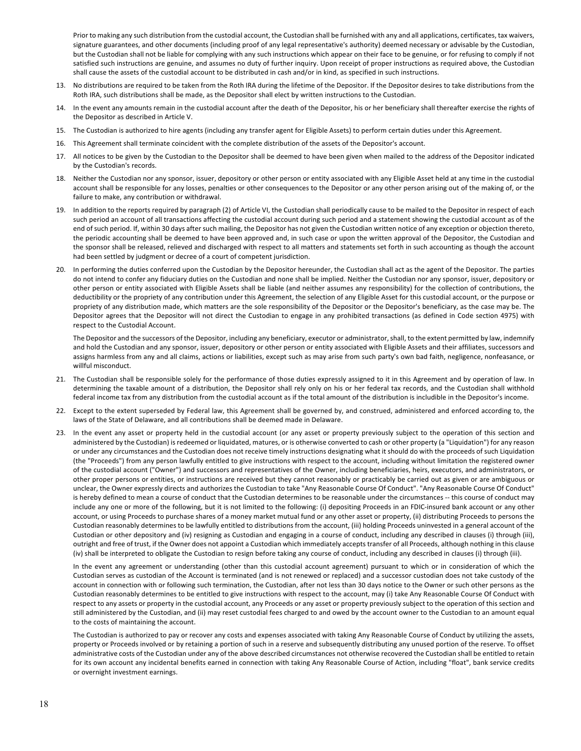Prior to making any such distribution from the custodial account, the Custodian shall be furnished with any and all applications, certificates, tax waivers, signature guarantees, and other documents (including proof of any legal representative's authority) deemed necessary or advisable by the Custodian, but the Custodian shall not be liable for complying with any such instructions which appear on their face to be genuine, or for refusing to comply if not satisfied such instructions are genuine, and assumes no duty of further inquiry. Upon receipt of proper instructions as required above, the Custodian shall cause the assets of the custodial account to be distributed in cash and/or in kind, as specified in such instructions.

- 13. No distributions are required to be taken from the Roth IRA during the lifetime of the Depositor. If the Depositor desires to take distributions from the Roth IRA, such distributions shall be made, as the Depositor shall elect by written instructions to the Custodian.
- 14. In the event any amounts remain in the custodial account after the death of the Depositor, his or her beneficiary shall thereafter exercise the rights of the Depositor as described in Article V.
- 15. The Custodian is authorized to hire agents (including any transfer agent for Eligible Assets) to perform certain duties under this Agreement.
- 16. This Agreement shall terminate coincident with the complete distribution of the assets of the Depositor's account.
- 17. All notices to be given by the Custodian to the Depositor shall be deemed to have been given when mailed to the address of the Depositor indicated by the Custodian's records.
- 18. Neither the Custodian nor any sponsor, issuer, depository or other person or entity associated with any Eligible Asset held at any time in the custodial account shall be responsible for any losses, penalties or other consequences to the Depositor or any other person arising out of the making of, or the failure to make, any contribution or withdrawal.
- 19. In addition to the reports required by paragraph (2) of Article VI, the Custodian shall periodically cause to be mailed to the Depositor in respect of each such period an account of all transactions affecting the custodial account during such period and a statement showing the custodial account as of the end of such period. If, within 30 days after such mailing, the Depositor has not given the Custodian written notice of any exception or objection thereto, the periodic accounting shall be deemed to have been approved and, in such case or upon the written approval of the Depositor, the Custodian and the sponsor shall be released, relieved and discharged with respect to all matters and statements set forth in such accounting as though the account had been settled by judgment or decree of a court of competent jurisdiction.
- 20. In performing the duties conferred upon the Custodian by the Depositor hereunder, the Custodian shall act as the agent of the Depositor. The parties do not intend to confer any fiduciary duties on the Custodian and none shall be implied. Neither the Custodian nor any sponsor, issuer, depository or other person or entity associated with Eligible Assets shall be liable (and neither assumes any responsibility) for the collection of contributions, the deductibility or the propriety of any contribution under this Agreement, the selection of any Eligible Asset for this custodial account, or the purpose or propriety of any distribution made, which matters are the sole responsibility of the Depositor or the Depositor's beneficiary, as the case may be. The Depositor agrees that the Depositor will not direct the Custodian to engage in any prohibited transactions (as defined in Code section 4975) with respect to the Custodial Account.

The Depositor and the successors of the Depositor, including any beneficiary, executor or administrator, shall, to the extent permitted by law, indemnify and hold the Custodian and any sponsor, issuer, depository or other person or entity associated with Eligible Assets and their affiliates, successors and assigns harmless from any and all claims, actions or liabilities, except such as may arise from such party's own bad faith, negligence, nonfeasance, or willful misconduct.

- 21. The Custodian shall be responsible solely for the performance of those duties expressly assigned to it in this Agreement and by operation of law. In determining the taxable amount of a distribution, the Depositor shall rely only on his or her federal tax records, and the Custodian shall withhold federal income tax from any distribution from the custodial account as if the total amount of the distribution is includible in the Depositor's income.
- 22. Except to the extent superseded by Federal law, this Agreement shall be governed by, and construed, administered and enforced according to, the laws of the State of Delaware, and all contributions shall be deemed made in Delaware.
- 23. In the event any asset or property held in the custodial account (or any asset or property previously subject to the operation of this section and administered by the Custodian) is redeemed or liquidated, matures, or is otherwise converted to cash or other property (a "Liquidation") for any reason or under any circumstances and the Custodian does not receive timely instructions designating what it should do with the proceeds of such Liquidation (the "Proceeds") from any person lawfully entitled to give instructions with respect to the account, including without limitation the registered owner of the custodial account ("Owner") and successors and representatives of the Owner, including beneficiaries, heirs, executors, and administrators, or other proper persons or entities, or instructions are received but they cannot reasonably or practicably be carried out as given or are ambiguous or unclear, the Owner expressly directs and authorizes the Custodian to take "Any Reasonable Course Of Conduct". "Any Reasonable Course Of Conduct" is hereby defined to mean a course of conduct that the Custodian determines to be reasonable under the circumstances -- this course of conduct may include any one or more of the following, but it is not limited to the following: (i) depositing Proceeds in an FDIC-insured bank account or any other account, or using Proceeds to purchase shares of a money market mutual fund or any other asset or property, (ii) distributing Proceeds to persons the Custodian reasonably determines to be lawfully entitled to distributions from the account, (iii) holding Proceeds uninvested in a general account of the Custodian or other depository and (iv) resigning as Custodian and engaging in a course of conduct, including any described in clauses (i) through (iii), outright and free of trust, if the Owner does not appoint a Custodian which immediately accepts transfer of all Proceeds, although nothing in this clause (iv) shall be interpreted to obligate the Custodian to resign before taking any course of conduct, including any described in clauses (i) through (iii).

In the event any agreement or understanding (other than this custodial account agreement) pursuant to which or in consideration of which the Custodian serves as custodian of the Account is terminated (and is not renewed or replaced) and a successor custodian does not take custody of the account in connection with or following such termination, the Custodian, after not less than 30 days notice to the Owner or such other persons as the Custodian reasonably determines to be entitled to give instructions with respect to the account, may (i) take Any Reasonable Course Of Conduct with respect to any assets or property in the custodial account, any Proceeds or any asset or property previously subject to the operation of this section and still administered by the Custodian, and (ii) may reset custodial fees charged to and owed by the account owner to the Custodian to an amount equal to the costs of maintaining the account.

The Custodian is authorized to pay or recover any costs and expenses associated with taking Any Reasonable Course of Conduct by utilizing the assets, property or Proceeds involved or by retaining a portion of such in a reserve and subsequently distributing any unused portion of the reserve. To offset administrative costs of the Custodian under any of the above described circumstances not otherwise recovered the Custodian shall be entitled to retain for its own account any incidental benefits earned in connection with taking Any Reasonable Course of Action, including "float", bank service credits or overnight investment earnings.